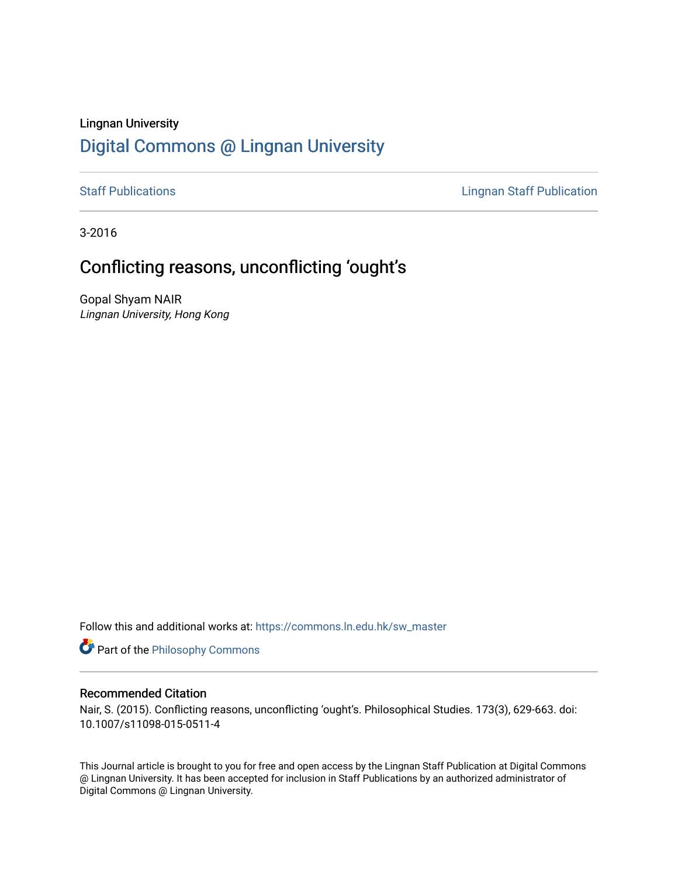# Lingnan University [Digital Commons @ Lingnan University](https://commons.ln.edu.hk/)

[Staff Publications](https://commons.ln.edu.hk/sw_master) **Staff Publications Lingnan Staff Publication** 

3-2016

# Conflicting reasons, unconflicting 'ought's

Gopal Shyam NAIR Lingnan University, Hong Kong

Follow this and additional works at: [https://commons.ln.edu.hk/sw\\_master](https://commons.ln.edu.hk/sw_master?utm_source=commons.ln.edu.hk%2Fsw_master%2F3103&utm_medium=PDF&utm_campaign=PDFCoverPages) 

**Part of the Philosophy Commons** 

# Recommended Citation

Nair, S. (2015). Conflicting reasons, unconflicting 'ought's. Philosophical Studies. 173(3), 629-663. doi: 10.1007/s11098-015-0511-4

This Journal article is brought to you for free and open access by the Lingnan Staff Publication at Digital Commons @ Lingnan University. It has been accepted for inclusion in Staff Publications by an authorized administrator of Digital Commons @ Lingnan University.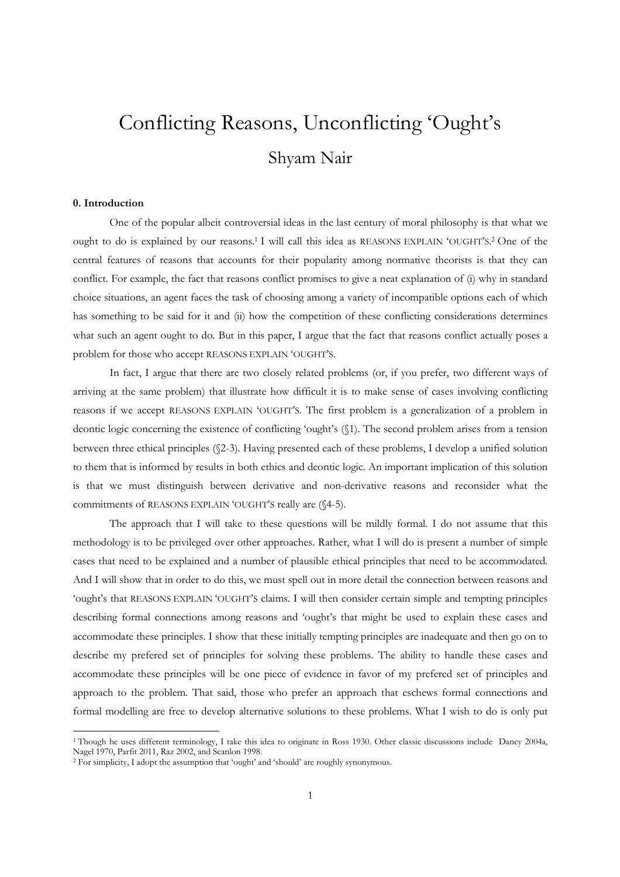# Conflicting Reasons, Unconflicting 'Ought's Shyam Nair

#### **0. Introduction**

-

 One of the popular albeit controversial ideas in the last century of moral philosophy is that what we ought to do is explained by our reasons.<sup>1</sup> I will call this idea as REASONS EXPLAIN 'OUGHT'S.<sup>2</sup> One of the central features of reasons that accounts for their popularity among normative theorists is that they can conflict. For example, the fact that reasons conflict promises to give a neat explanation of (i) why in standard choice situations, an agent faces the task of choosing among a variety of incompatible options each of which has something to be said for it and (ii) how the competition of these conflicting considerations determines what such an agent ought to do. But in this paper, I argue that the fact that reasons conflict actually poses a problem for those who accept REASONS EXPLAIN 'OUGHT'S.

 In fact, I argue that there are two closely related problems (or, if you prefer, two different ways of arriving at the same problem) that illustrate how difficult it is to make sense of cases involving conflicting reasons if we accept REASONS EXPLAIN 'OUGHT'S. The first problem is a generalization of a problem in deontic logic concerning the existence of conflicting 'ought's (§1). The second problem arises from a tension between three ethical principles (§2-3). Having presented each of these problems, I develop a unified solution to them that is informed by results in both ethics and deontic logic. An important implication of this solution is that we must distinguish between derivative and non-derivative reasons and reconsider what the commitments of REASONS EXPLAIN 'OUGHT'S really are (§4-5).

 The approach that I will take to these questions will be mildly formal. I do not assume that this methodology is to be privileged over other approaches. Rather, what I will do is present a number of simple cases that need to be explained and a number of plausible ethical principles that need to be accommodated. And I will show that in order to do this, we must spell out in more detail the connection between reasons and 'ought's that REASONS EXPLAIN 'OUGHT'S claims. I will then consider certain simple and tempting principles describing formal connections among reasons and 'ought's that might be used to explain these cases and accommodate these principles. I show that these initially tempting principles are inadequate and then go on to describe my prefered set of principles for solving these problems. The ability to handle these cases and accommodate these principles will be one piece of evidence in favor of my prefered set of principles and approach to the problem. That said, those who prefer an approach that eschews formal connections and formal modelling are free to develop alternative solutions to these problems. What I wish to do is only put

<sup>1</sup> Though he uses different terminology, I take this idea to originate in Ross 1930. Other classic discussions include Dancy 2004a, Nagel 1970, Parfit 2011, Raz 2002, and Scanlon 1998.

<sup>2</sup> For simplicity, I adopt the assumption that 'ought' and 'should' are roughly synonymous.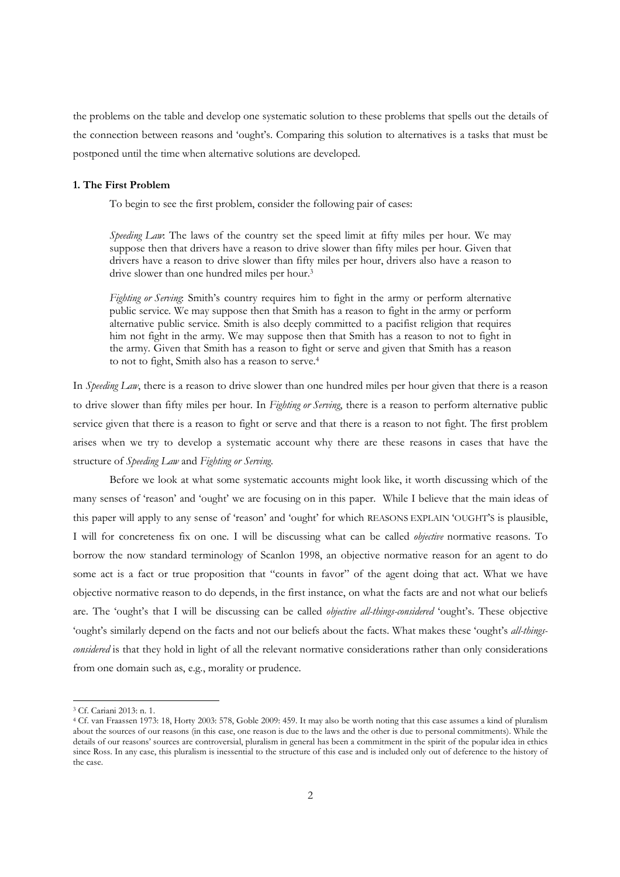the problems on the table and develop one systematic solution to these problems that spells out the details of the connection between reasons and 'ought's. Comparing this solution to alternatives is a tasks that must be postponed until the time when alternative solutions are developed.

#### **1. The First Problem**

To begin to see the first problem, consider the following pair of cases:

*Speeding Law*: The laws of the country set the speed limit at fifty miles per hour. We may suppose then that drivers have a reason to drive slower than fifty miles per hour. Given that drivers have a reason to drive slower than fifty miles per hour, drivers also have a reason to drive slower than one hundred miles per hour.<sup>3</sup>

*Fighting or Serving*: Smith's country requires him to fight in the army or perform alternative public service. We may suppose then that Smith has a reason to fight in the army or perform alternative public service. Smith is also deeply committed to a pacifist religion that requires him not fight in the army. We may suppose then that Smith has a reason to not to fight in the army. Given that Smith has a reason to fight or serve and given that Smith has a reason to not to fight, Smith also has a reason to serve.<sup>4</sup>

In *Speeding Law*, there is a reason to drive slower than one hundred miles per hour given that there is a reason to drive slower than fifty miles per hour. In *Fighting or Serving*, there is a reason to perform alternative public service given that there is a reason to fight or serve and that there is a reason to not fight. The first problem arises when we try to develop a systematic account why there are these reasons in cases that have the structure of *Speeding Law* and *Fighting or Serving*.

 Before we look at what some systematic accounts might look like, it worth discussing which of the many senses of 'reason' and 'ought' we are focusing on in this paper. While I believe that the main ideas of this paper will apply to any sense of 'reason' and 'ought' for which REASONS EXPLAIN 'OUGHT'S is plausible, I will for concreteness fix on one. I will be discussing what can be called *objective* normative reasons. To borrow the now standard terminology of Scanlon 1998, an objective normative reason for an agent to do some act is a fact or true proposition that "counts in favor" of the agent doing that act. What we have objective normative reason to do depends, in the first instance, on what the facts are and not what our beliefs are. The 'ought's that I will be discussing can be called *objective all-things-considered* 'ought's. These objective 'ought's similarly depend on the facts and not our beliefs about the facts. What makes these 'ought's *all-thingsconsidered* is that they hold in light of all the relevant normative considerations rather than only considerations from one domain such as, e.g., morality or prudence.

<sup>3</sup> Cf. Cariani 2013: n. 1.

<sup>4</sup> Cf. van Fraassen 1973: 18, Horty 2003: 578, Goble 2009: 459. It may also be worth noting that this case assumes a kind of pluralism about the sources of our reasons (in this case, one reason is due to the laws and the other is due to personal commitments). While the details of our reasons' sources are controversial, pluralism in general has been a commitment in the spirit of the popular idea in ethics since Ross. In any case, this pluralism is inessential to the structure of this case and is included only out of deference to the history of the case.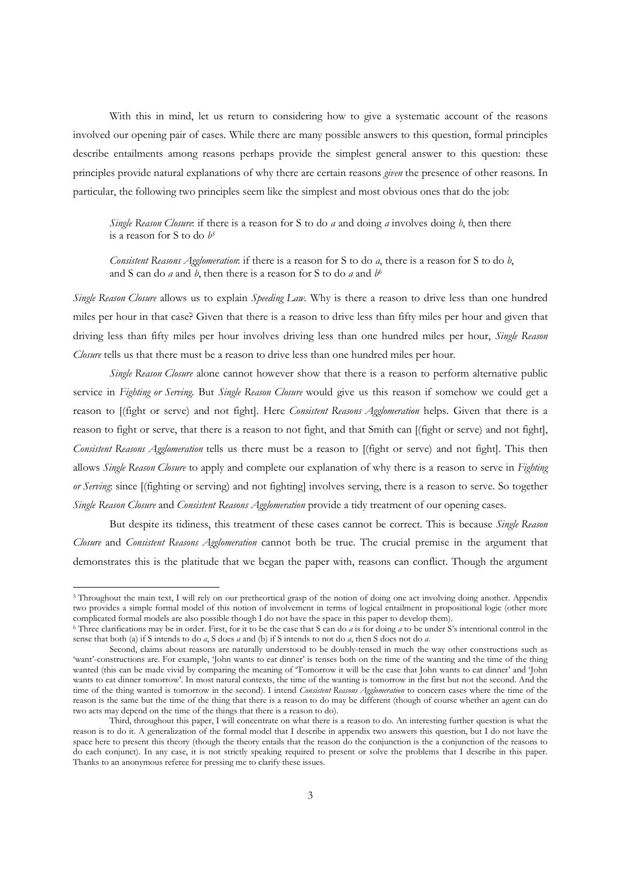With this in mind, let us return to considering how to give a systematic account of the reasons involved our opening pair of cases. While there are many possible answers to this question, formal principles describe entailments among reasons perhaps provide the simplest general answer to this question: these principles provide natural explanations of why there are certain reasons *given* the presence of other reasons. In particular, the following two principles seem like the simplest and most obvious ones that do the job:

*Single Reason Closure*: if there is a reason for S to do *a* and doing *a* involves doing *b*, then there is a reason for S to do  $b^5$ 

*Consistent Reasons Agglomeration*: if there is a reason for S to do *a*, there is a reason for S to do *b*, and S can do *a* and *b*, then there is a reason for S to do *a* and *b* 6

*Single Reason Closure* allows us to explain *Speeding Law*. Why is there a reason to drive less than one hundred miles per hour in that case? Given that there is a reason to drive less than fifty miles per hour and given that driving less than fifty miles per hour involves driving less than one hundred miles per hour, *Single Reason Closure* tells us that there must be a reason to drive less than one hundred miles per hour.

*Single Reason Closure* alone cannot however show that there is a reason to perform alternative public service in *Fighting or Serving*. But *Single Reason Closure* would give us this reason if somehow we could get a reason to [(fight or serve) and not fight]. Here *Consistent Reasons Agglomeration* helps. Given that there is a reason to fight or serve, that there is a reason to not fight, and that Smith can [(fight or serve) and not fight], *Consistent Reasons Agglomeration* tells us there must be a reason to [(fight or serve) and not fight]. This then allows *Single Reason Closure* to apply and complete our explanation of why there is a reason to serve in *Fighting or Serving*: since [(fighting or serving) and not fighting] involves serving, there is a reason to serve. So together *Single Reason Closure* and *Consistent Reasons Agglomeration* provide a tidy treatment of our opening cases.

 But despite its tidiness, this treatment of these cases cannot be correct. This is because *Single Reason Closure* and *Consistent Reasons Agglomeration* cannot both be true. The crucial premise in the argument that demonstrates this is the platitude that we began the paper with, reasons can conflict. Though the argument

-

<sup>5</sup> Throughout the main text, I will rely on our pretheortical grasp of the notion of doing one act involving doing another. Appendix two provides a simple formal model of this notion of involvement in terms of logical entailment in propositional logic (other more complicated formal models are also possible though I do not have the space in this paper to develop them).

<sup>6</sup> Three clarifications may be in order. First, for it to be the case that S can do *a* is for doing *a* to be under S's intentional control in the sense that both (a) if S intends to do *a*, S does *a* and (b) if S intends to not do *a*, then S does not do *a*.

Second, claims about reasons are naturally understood to be doubly-tensed in much the way other constructions such as 'want'-constructions are. For example, 'John wants to eat dinner' is tenses both on the time of the wanting and the time of the thing wanted (this can be made vivid by comparing the meaning of 'Tomorrow it will be the case that John wants to eat dinner' and 'John wants to eat dinner tomorrow'. In most natural contexts, the time of the wanting is tomorrow in the first but not the second. And the time of the thing wanted is tomorrow in the second). I intend *Consistent Reasons Agglomeration* to concern cases where the time of the reason is the same but the time of the thing that there is a reason to do may be different (though of course whether an agent can do two acts may depend on the time of the things that there is a reason to do).

Third, throughout this paper, I will concentrate on what there is a reason to do. An interesting further question is what the reason is to do it. A generalization of the formal model that I describe in appendix two answers this question, but I do not have the space here to present this theory (though the theory entails that the reason do the conjunction is the a conjunction of the reasons to do each conjunct). In any case, it is not strictly speaking required to present or solve the problems that I describe in this paper. Thanks to an anonymous referee for pressing me to clarify these issues.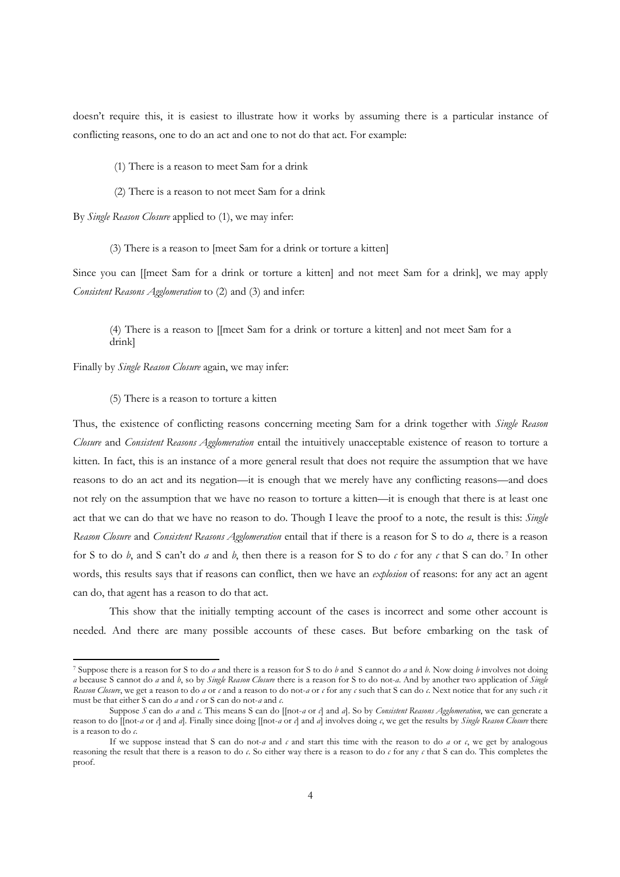doesn't require this, it is easiest to illustrate how it works by assuming there is a particular instance of conflicting reasons, one to do an act and one to not do that act. For example:

- (1) There is a reason to meet Sam for a drink
- (2) There is a reason to not meet Sam for a drink

By *Single Reason Closure* applied to (1), we may infer:

(3) There is a reason to [meet Sam for a drink or torture a kitten]

Since you can [[meet Sam for a drink or torture a kitten] and not meet Sam for a drink], we may apply *Consistent Reasons Agglomeration* to (2) and (3) and infer:

(4) There is a reason to [[meet Sam for a drink or torture a kitten] and not meet Sam for a drink]

Finally by *Single Reason Closure* again, we may infer:

1

(5) There is a reason to torture a kitten

Thus, the existence of conflicting reasons concerning meeting Sam for a drink together with *Single Reason Closure* and *Consistent Reasons Agglomeration* entail the intuitively unacceptable existence of reason to torture a kitten. In fact, this is an instance of a more general result that does not require the assumption that we have reasons to do an act and its negation—it is enough that we merely have any conflicting reasons—and does not rely on the assumption that we have no reason to torture a kitten—it is enough that there is at least one act that we can do that we have no reason to do. Though I leave the proof to a note, the result is this: *Single Reason Closure* and *Consistent Reasons Agglomeration* entail that if there is a reason for S to do *a*, there is a reason for S to do  $b$ , and S can't do *a* and  $b$ , then there is a reason for S to do  $c$  for any  $c$  that S can do.<sup>7</sup> In other words, this results says that if reasons can conflict, then we have an *explosion* of reasons: for any act an agent can do, that agent has a reason to do that act.

 This show that the initially tempting account of the cases is incorrect and some other account is needed. And there are many possible accounts of these cases. But before embarking on the task of

<sup>7</sup> Suppose there is a reason for S to do *a* and there is a reason for S to do *b* and S cannot do *a* and *b*. Now doing *b* involves not doing *a* because S cannot do *a* and *b*, so by *Single Reason Closure* there is a reason for S to do not-*a.* And by another two application of *Single Reason Closure*, we get a reason to do *a* or *c* and a reason to do not-*a* or *c* for any *c* such that S can do *c*. Next notice that for any such *c* it must be that either S can do *a* and *c* or S can do not-*a* and *c*.

Suppose *S* can do *a* and *c*. This means S can do [[not-*a* or *c*] and *a*]. So by *Consistent Reasons Agglomeration*, we can generate a reason to do [[not-*a* or *c*] and *a*]. Finally since doing [[not-*a* or *c*] and *a*] involves doing *c*, we get the results by *Single Reason Closure* there is a reason to do *c*.

If we suppose instead that S can do not-*a* and *c* and start this time with the reason to do *a* or *c*, we get by analogous reasoning the result that there is a reason to do *c*. So either way there is a reason to do *c* for any *c* that S can do. This completes the proof.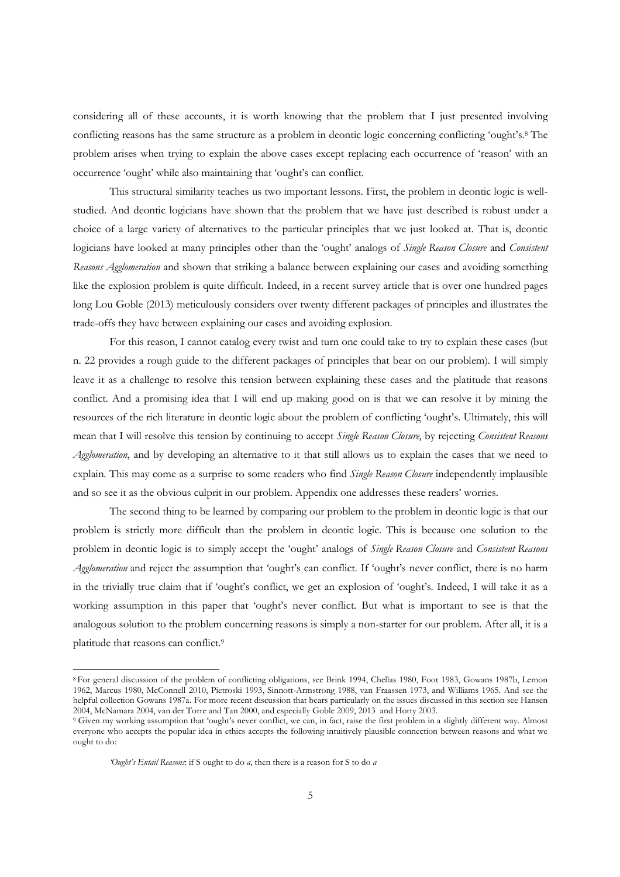considering all of these accounts, it is worth knowing that the problem that I just presented involving conflicting reasons has the same structure as a problem in deontic logic concerning conflicting 'ought's. 8 The problem arises when trying to explain the above cases except replacing each occurrence of 'reason' with an occurrence 'ought' while also maintaining that 'ought's can conflict.

 This structural similarity teaches us two important lessons. First, the problem in deontic logic is wellstudied. And deontic logicians have shown that the problem that we have just described is robust under a choice of a large variety of alternatives to the particular principles that we just looked at. That is, deontic logicians have looked at many principles other than the 'ought' analogs of *Single Reason Closure* and *Consistent Reasons Agglomeration* and shown that striking a balance between explaining our cases and avoiding something like the explosion problem is quite difficult. Indeed, in a recent survey article that is over one hundred pages long Lou Goble (2013) meticulously considers over twenty different packages of principles and illustrates the trade-offs they have between explaining our cases and avoiding explosion.

 For this reason, I cannot catalog every twist and turn one could take to try to explain these cases (but n. 22 provides a rough guide to the different packages of principles that bear on our problem). I will simply leave it as a challenge to resolve this tension between explaining these cases and the platitude that reasons conflict. And a promising idea that I will end up making good on is that we can resolve it by mining the resources of the rich literature in deontic logic about the problem of conflicting 'ought's. Ultimately, this will mean that I will resolve this tension by continuing to accept *Single Reason Closure*, by rejecting *Consistent Reasons Agglomeration*, and by developing an alternative to it that still allows us to explain the cases that we need to explain. This may come as a surprise to some readers who find *Single Reason Closure* independently implausible and so see it as the obvious culprit in our problem. Appendix one addresses these readers' worries.

 The second thing to be learned by comparing our problem to the problem in deontic logic is that our problem is strictly more difficult than the problem in deontic logic. This is because one solution to the problem in deontic logic is to simply accept the 'ought' analogs of *Single Reason Closure* and *Consistent Reasons Agglomeration* and reject the assumption that 'ought's can conflict. If 'ought's never conflict, there is no harm in the trivially true claim that if 'ought's conflict, we get an explosion of 'ought's. Indeed, I will take it as a working assumption in this paper that 'ought's never conflict. But what is important to see is that the analogous solution to the problem concerning reasons is simply a non-starter for our problem. After all, it is a platitude that reasons can conflict.<sup>9</sup>

<sup>8</sup>For general discussion of the problem of conflicting obligations, see Brink 1994, Chellas 1980, Foot 1983, Gowans 1987b, Lemon 1962, Marcus 1980, McConnell 2010, Pietroski 1993, Sinnott-Armstrong 1988, van Fraassen 1973, and Williams 1965. And see the helpful collection Gowans 1987a. For more recent discussion that bears particularly on the issues discussed in this section see Hansen 2004, McNamara 2004, van der Torre and Tan 2000, and especially Goble 2009, 2013 and Horty 2003.

<sup>9</sup> Given my working assumption that 'ought's never conflict, we can, in fact, raise the first problem in a slightly different way. Almost everyone who accepts the popular idea in ethics accepts the following intuitively plausible connection between reasons and what we ought to do:

*<sup>&#</sup>x27;Ought's Entail Reasons*: if S ought to do *a*, then there is a reason for S to do *a*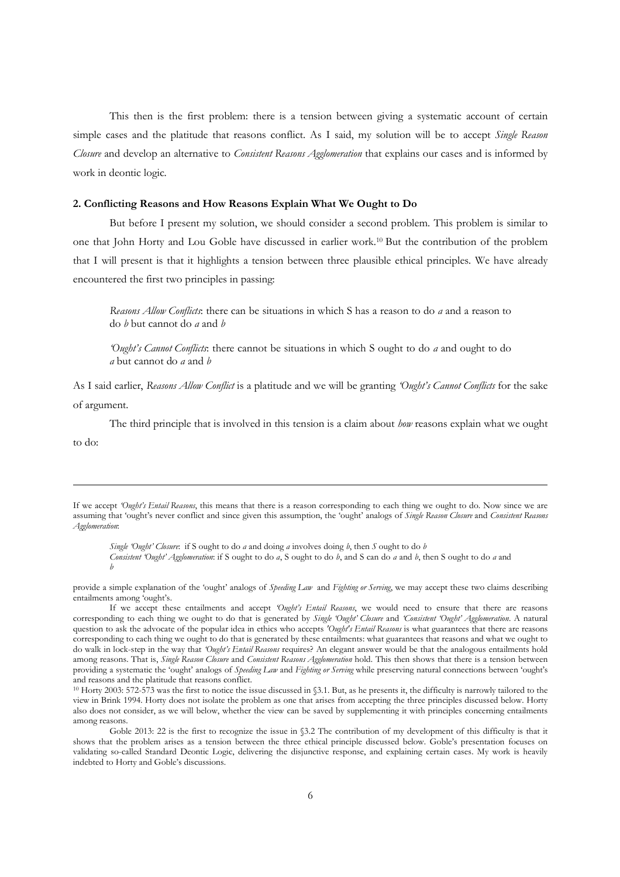This then is the first problem: there is a tension between giving a systematic account of certain simple cases and the platitude that reasons conflict. As I said, my solution will be to accept *Single Reason Closure* and develop an alternative to *Consistent Reasons Agglomeration* that explains our cases and is informed by work in deontic logic.

#### **2. Conflicting Reasons and How Reasons Explain What We Ought to Do**

-

 But before I present my solution, we should consider a second problem. This problem is similar to one that John Horty and Lou Goble have discussed in earlier work.10 But the contribution of the problem that I will present is that it highlights a tension between three plausible ethical principles. We have already encountered the first two principles in passing:

*Reasons Allow Conflicts*: there can be situations in which S has a reason to do *a* and a reason to do *b* but cannot do *a* and *b*

*'Ought's Cannot Conflicts*: there cannot be situations in which S ought to do *a* and ought to do *a* but cannot do *a* and *b*

As I said earlier, *Reasons Allow Conflict* is a platitude and we will be granting *'Ought's Cannot Conflicts* for the sake of argument.

The third principle that is involved in this tension is a claim about *how* reasons explain what we ought to do:

*Single 'Ought' Closure*: if S ought to do *a* and doing *a* involves doing *b*, then *S* ought to do *b Consistent 'Ought' Agglomeration*: if S ought to do *a*, S ought to do *b*, and S can do *a* and *b*, then S ought to do *a* and *b*

provide a simple explanation of the 'ought' analogs of *Speeding Law* and *Fighting or Serving*, we may accept these two claims describing entailments among 'ought's.

If we accept *'Ought's Entail Reasons*, this means that there is a reason corresponding to each thing we ought to do. Now since we are assuming that 'ought's never conflict and since given this assumption, the 'ought' analogs of *Single Reason Closure* and *Consistent Reasons Agglomeration*:

If we accept these entailments and accept *'Ought's Entail Reasons*, we would need to ensure that there are reasons corresponding to each thing we ought to do that is generated by *Single 'Ought' Closure* and *'Consistent 'Ought' Agglomeration*. A natural question to ask the advocate of the popular idea in ethics who accepts *'Ought's Entail Reasons* is what guarantees that there are reasons corresponding to each thing we ought to do that is generated by these entailments: what guarantees that reasons and what we ought to do walk in lock-step in the way that *'Ought's Entail Reasons* requires? An elegant answer would be that the analogous entailments hold among reasons. That is, *Single Reason Closure* and *Consistent Reasons Agglomeration* hold. This then shows that there is a tension between providing a systematic the 'ought' analogs of *Speeding Law* and *Fighting or Serving* while preserving natural connections between 'ought's and reasons and the platitude that reasons conflict.

<sup>10</sup> Horty 2003: 572-573 was the first to notice the issue discussed in §3.1. But, as he presents it, the difficulty is narrowly tailored to the view in Brink 1994. Horty does not isolate the problem as one that arises from accepting the three principles discussed below. Horty also does not consider, as we will below, whether the view can be saved by supplementing it with principles concerning entailments among reasons.

Goble 2013: 22 is the first to recognize the issue in §3.2 The contribution of my development of this difficulty is that it shows that the problem arises as a tension between the three ethical principle discussed below. Goble's presentation focuses on validating so-called Standard Deontic Logic, delivering the disjunctive response, and explaining certain cases. My work is heavily indebted to Horty and Goble's discussions.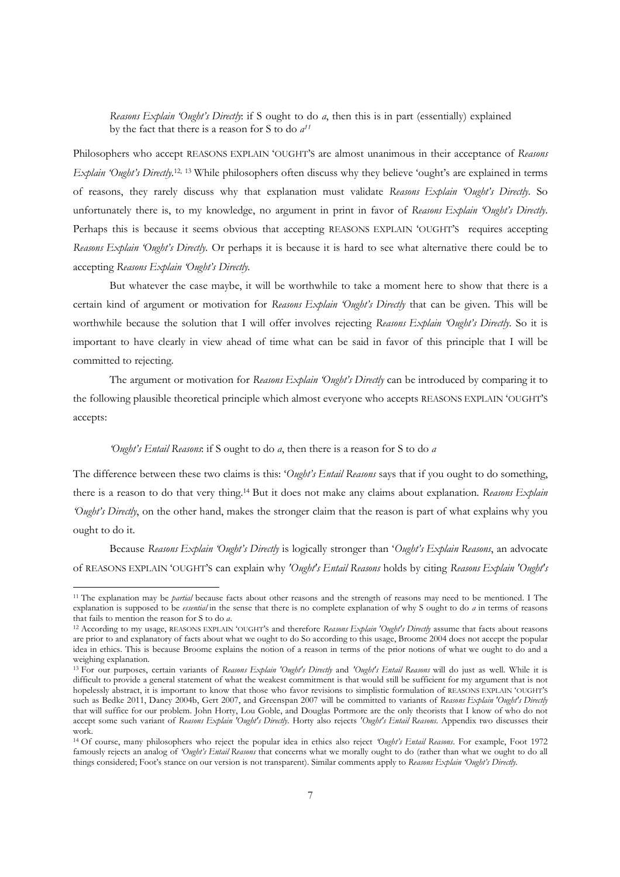*Reasons Explain 'Ought's Directly*: if S ought to do *a*, then this is in part (essentially) explained by the fact that there is a reason for S to do *a 11*

Philosophers who accept REASONS EXPLAIN 'OUGHT'S are almost unanimous in their acceptance of *Reasons Explain 'Ought's Directly*. 12, <sup>13</sup> While philosophers often discuss why they believe 'ought's are explained in terms of reasons, they rarely discuss why that explanation must validate *Reasons Explain 'Ought's Directly*. So unfortunately there is, to my knowledge, no argument in print in favor of *Reasons Explain 'Ought's Directly*. Perhaps this is because it seems obvious that accepting REASONS EXPLAIN 'OUGHT'S requires accepting *Reasons Explain 'Ought's Directly*. Or perhaps it is because it is hard to see what alternative there could be to accepting *Reasons Explain 'Ought's Directly.* 

But whatever the case maybe, it will be worthwhile to take a moment here to show that there is a certain kind of argument or motivation for *Reasons Explain 'Ought's Directly* that can be given. This will be worthwhile because the solution that I will offer involves rejecting *Reasons Explain 'Ought's Directly*. So it is important to have clearly in view ahead of time what can be said in favor of this principle that I will be committed to rejecting.

The argument or motivation for *Reasons Explain 'Ought's Directly* can be introduced by comparing it to the following plausible theoretical principle which almost everyone who accepts REASONS EXPLAIN 'OUGHT'S accepts:

# *'Ought's Entail Reasons*: if S ought to do *a*, then there is a reason for S to do *a*

-

The difference between these two claims is this: '*Ought's Entail Reasons* says that if you ought to do something, there is a reason to do that very thing.14 But it does not make any claims about explanation. *Reasons Explain 'Ought's Directly*, on the other hand, makes the stronger claim that the reason is part of what explains why you ought to do it.

Because *Reasons Explain 'Ought's Directly* is logically stronger than '*Ought's Explain Reasons*, an advocate of REASONS EXPLAIN 'OUGHT'S can explain why *'Ought's Entail Reasons* holds by citing *Reasons Explain 'Ought's* 

<sup>11</sup> The explanation may be *partial* because facts about other reasons and the strength of reasons may need to be mentioned. I The explanation is supposed to be *essential* in the sense that there is no complete explanation of why S ought to do *a* in terms of reasons that fails to mention the reason for S to do *a*.

<sup>12</sup> According to my usage, REASONS EXPLAIN 'OUGHT'S and therefore *Reasons Explain 'Ought's Directly* assume that facts about reasons are prior to and explanatory of facts about what we ought to do So according to this usage, Broome 2004 does not accept the popular idea in ethics. This is because Broome explains the notion of a reason in terms of the prior notions of what we ought to do and a weighing explanation.

<sup>13</sup> For our purposes, certain variants of *Reasons Explain 'Ought's Directly* and *'Ought's Entail Reasons* will do just as well. While it is difficult to provide a general statement of what the weakest commitment is that would still be sufficient for my argument that is not hopelessly abstract, it is important to know that those who favor revisions to simplistic formulation of REASONS EXPLAIN 'OUGHT'S such as Bedke 2011, Dancy 2004b, Gert 2007, and Greenspan 2007 will be committed to variants of *Reasons Explain 'Ought's Directly* that will suffice for our problem. John Horty, Lou Goble, and Douglas Portmore are the only theorists that I know of who do not accept some such variant of *Reasons Explain 'Ought's Directly*. Horty also rejects *'Ought's Entail Reasons*. Appendix two discusses their work.

<sup>14</sup> Of course, many philosophers who reject the popular idea in ethics also reject *'Ought's Entail Reasons*. For example, Foot 1972 famously rejects an analog of *'Ought's Entail Reasons* that concerns what we morally ought to do (rather than what we ought to do all things considered; Foot's stance on our version is not transparent). Similar comments apply to *Reasons Explain 'Ought's Directly*.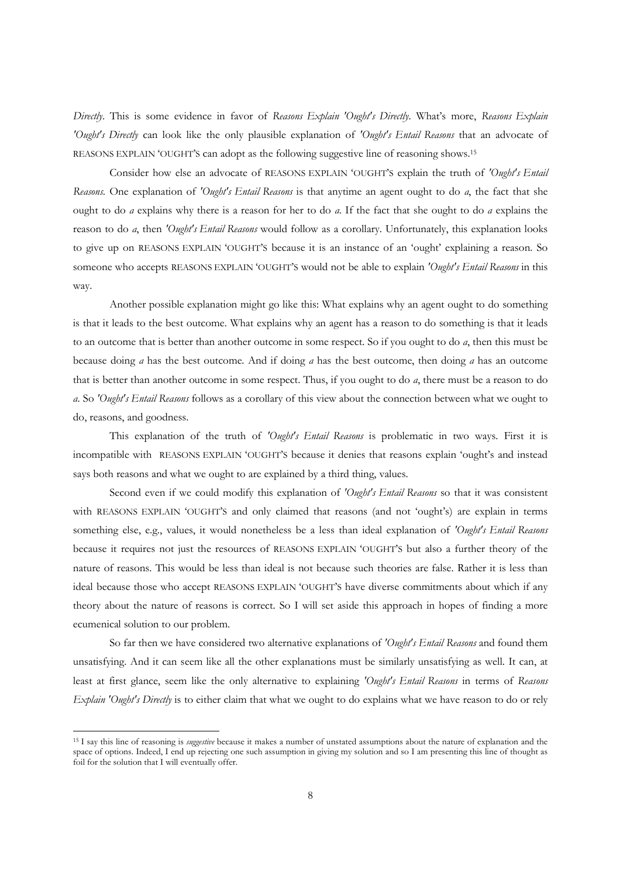*Directly*. This is some evidence in favor of *Reasons Explain 'Ought's Directly*. What's more, *Reasons Explain 'Ought's Directly* can look like the only plausible explanation of *'Ought's Entail Reasons* that an advocate of REASONS EXPLAIN 'OUGHT'S can adopt as the following suggestive line of reasoning shows.<sup>15</sup>

Consider how else an advocate of REASONS EXPLAIN 'OUGHT'S explain the truth of *'Ought's Entail Reasons*. One explanation of *'Ought's Entail Reasons* is that anytime an agent ought to do *a*, the fact that she ought to do *a* explains why there is a reason for her to do *a*. If the fact that she ought to do *a* explains the reason to do *a*, then *'Ought's Entail Reasons* would follow as a corollary. Unfortunately, this explanation looks to give up on REASONS EXPLAIN 'OUGHT'S because it is an instance of an 'ought' explaining a reason. So someone who accepts REASONS EXPLAIN 'OUGHT'S would not be able to explain *'Ought's Entail Reasons* in this way.

 Another possible explanation might go like this: What explains why an agent ought to do something is that it leads to the best outcome. What explains why an agent has a reason to do something is that it leads to an outcome that is better than another outcome in some respect. So if you ought to do *a*, then this must be because doing *a* has the best outcome. And if doing *a* has the best outcome, then doing *a* has an outcome that is better than another outcome in some respect. Thus, if you ought to do *a*, there must be a reason to do *a*. So *'Ought's Entail Reasons* follows as a corollary of this view about the connection between what we ought to do, reasons, and goodness.

 This explanation of the truth of *'Ought's Entail Reasons* is problematic in two ways. First it is incompatible with REASONS EXPLAIN 'OUGHT'S because it denies that reasons explain 'ought's and instead says both reasons and what we ought to are explained by a third thing, values.

Second even if we could modify this explanation of *'Ought's Entail Reasons* so that it was consistent with REASONS EXPLAIN 'OUGHT'S and only claimed that reasons (and not 'ought's) are explain in terms something else, e.g., values, it would nonetheless be a less than ideal explanation of *'Ought's Entail Reasons* because it requires not just the resources of REASONS EXPLAIN 'OUGHT'S but also a further theory of the nature of reasons. This would be less than ideal is not because such theories are false. Rather it is less than ideal because those who accept REASONS EXPLAIN 'OUGHT'S have diverse commitments about which if any theory about the nature of reasons is correct. So I will set aside this approach in hopes of finding a more ecumenical solution to our problem.

So far then we have considered two alternative explanations of *'Ought's Entail Reasons* and found them unsatisfying. And it can seem like all the other explanations must be similarly unsatisfying as well. It can, at least at first glance, seem like the only alternative to explaining *'Ought's Entail Reasons* in terms of *Reasons Explain 'Ought's Directly* is to either claim that what we ought to do explains what we have reason to do or rely

-

<sup>15</sup> I say this line of reasoning is *suggestive* because it makes a number of unstated assumptions about the nature of explanation and the space of options. Indeed, I end up rejecting one such assumption in giving my solution and so I am presenting this line of thought as foil for the solution that I will eventually offer.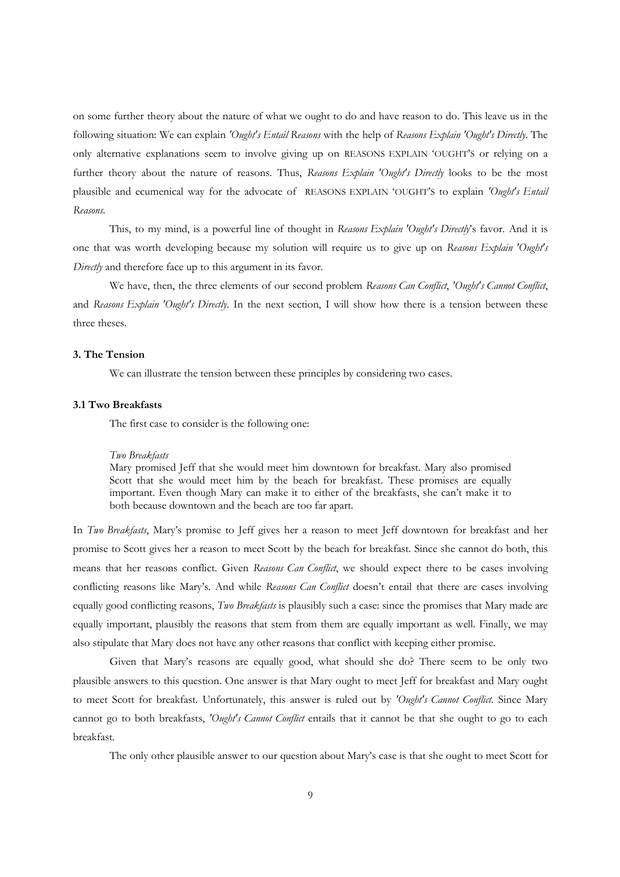on some further theory about the nature of what we ought to do and have reason to do. This leave us in the following situation: We can explain *'Ought's Entail Reasons* with the help of *Reasons Explain 'Ought's Directly*. The only alternative explanations seem to involve giving up on REASONS EXPLAIN 'OUGHT'S or relying on a further theory about the nature of reasons. Thus, *Reasons Explain 'Ought's Directly* looks to be the most plausible and ecumenical way for the advocate of REASONS EXPLAIN 'OUGHT'S to explain *'Ought's Entail Reasons*.

This, to my mind, is a powerful line of thought in *Reasons Explain 'Ought's Directly*'s favor. And it is one that was worth developing because my solution will require us to give up on *Reasons Explain 'Ought's Directly* and therefore face up to this argument in its favor.

We have, then, the three elements of our second problem *Reasons Can Conflict*, *'Ought's Cannot Conflict*, and *Reasons Explain 'Ought's Directly*. In the next section, I will show how there is a tension between these three theses.

#### **3. The Tension**

We can illustrate the tension between these principles by considering two cases.

## **3.1 Two Breakfasts**

The first case to consider is the following one:

#### *Two Breakfasts*

Mary promised Jeff that she would meet him downtown for breakfast. Mary also promised Scott that she would meet him by the beach for breakfast. These promises are equally important. Even though Mary can make it to either of the breakfasts, she can't make it to both because downtown and the beach are too far apart.

In *Two Breakfasts*, Mary's promise to Jeff gives her a reason to meet Jeff downtown for breakfast and her promise to Scott gives her a reason to meet Scott by the beach for breakfast. Since she cannot do both, this means that her reasons conflict. Given *Reasons Can Conflict*, we should expect there to be cases involving conflicting reasons like Mary's. And while *Reasons Can Conflict* doesn't entail that there are cases involving equally good conflicting reasons, *Two Breakfasts* is plausibly such a case: since the promises that Mary made are equally important, plausibly the reasons that stem from them are equally important as well. Finally, we may also stipulate that Mary does not have any other reasons that conflict with keeping either promise.

 Given that Mary's reasons are equally good, what should she do? There seem to be only two plausible answers to this question. One answer is that Mary ought to meet Jeff for breakfast and Mary ought to meet Scott for breakfast. Unfortunately, this answer is ruled out by *'Ought's Cannot Conflict*. Since Mary cannot go to both breakfasts, *'Ought's Cannot Conflict* entails that it cannot be that she ought to go to each breakfast.

The only other plausible answer to our question about Mary's case is that she ought to meet Scott for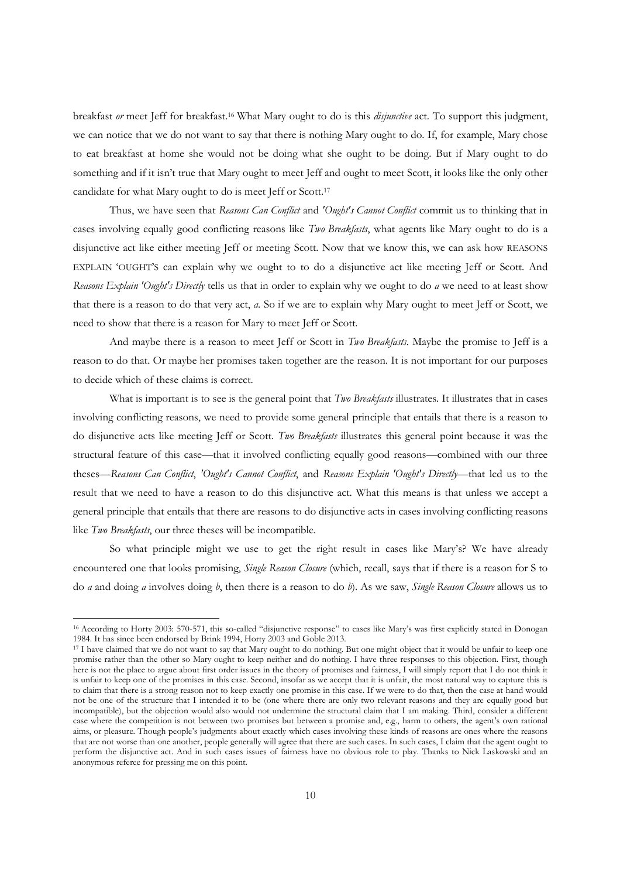breakfast *or* meet Jeff for breakfast.16 What Mary ought to do is this *disjunctive* act. To support this judgment, we can notice that we do not want to say that there is nothing Mary ought to do. If, for example, Mary chose to eat breakfast at home she would not be doing what she ought to be doing. But if Mary ought to do something and if it isn't true that Mary ought to meet Jeff and ought to meet Scott, it looks like the only other candidate for what Mary ought to do is meet Jeff or Scott.<sup>17</sup>

 Thus, we have seen that *Reasons Can Conflict* and *'Ought's Cannot Conflict* commit us to thinking that in cases involving equally good conflicting reasons like *Two Breakfasts*, what agents like Mary ought to do is a disjunctive act like either meeting Jeff or meeting Scott. Now that we know this, we can ask how REASONS EXPLAIN 'OUGHT'S can explain why we ought to to do a disjunctive act like meeting Jeff or Scott. And *Reasons Explain 'Ought's Directly* tells us that in order to explain why we ought to do *a* we need to at least show that there is a reason to do that very act, *a*. So if we are to explain why Mary ought to meet Jeff or Scott, we need to show that there is a reason for Mary to meet Jeff or Scott.

 And maybe there is a reason to meet Jeff or Scott in *Two Breakfasts*. Maybe the promise to Jeff is a reason to do that. Or maybe her promises taken together are the reason. It is not important for our purposes to decide which of these claims is correct.

What is important is to see is the general point that *Two Breakfasts* illustrates. It illustrates that in cases involving conflicting reasons, we need to provide some general principle that entails that there is a reason to do disjunctive acts like meeting Jeff or Scott. *Two Breakfasts* illustrates this general point because it was the structural feature of this case—that it involved conflicting equally good reasons—combined with our three theses—*Reasons Can Conflict*, *'Ought's Cannot Conflict*, and *Reasons Explain 'Ought's Directly*—that led us to the result that we need to have a reason to do this disjunctive act. What this means is that unless we accept a general principle that entails that there are reasons to do disjunctive acts in cases involving conflicting reasons like *Two Breakfasts*, our three theses will be incompatible.

So what principle might we use to get the right result in cases like Mary's? We have already encountered one that looks promising, *Single Reason Closure* (which, recall, says that if there is a reason for S to do *a* and doing *a* involves doing *b*, then there is a reason to do *b*). As we saw, *Single Reason Closure* allows us to

-

<sup>16</sup> According to Horty 2003: 570-571, this so-called "disjunctive response" to cases like Mary's was first explicitly stated in Donogan 1984. It has since been endorsed by Brink 1994, Horty 2003 and Goble 2013.

<sup>&</sup>lt;sup>17</sup> I have claimed that we do not want to say that Mary ought to do nothing. But one might object that it would be unfair to keep one promise rather than the other so Mary ought to keep neither and do nothing. I have three responses to this objection. First, though here is not the place to argue about first order issues in the theory of promises and fairness, I will simply report that I do not think it is unfair to keep one of the promises in this case. Second, insofar as we accept that it is unfair, the most natural way to capture this is to claim that there is a strong reason not to keep exactly one promise in this case. If we were to do that, then the case at hand would not be one of the structure that I intended it to be (one where there are only two relevant reasons and they are equally good but incompatible), but the objection would also would not undermine the structural claim that I am making. Third, consider a different case where the competition is not between two promises but between a promise and, e.g., harm to others, the agent's own rational aims, or pleasure. Though people's judgments about exactly which cases involving these kinds of reasons are ones where the reasons that are not worse than one another, people generally will agree that there are such cases. In such cases, I claim that the agent ought to perform the disjunctive act. And in such cases issues of fairness have no obvious role to play. Thanks to Nick Laskowski and an anonymous referee for pressing me on this point.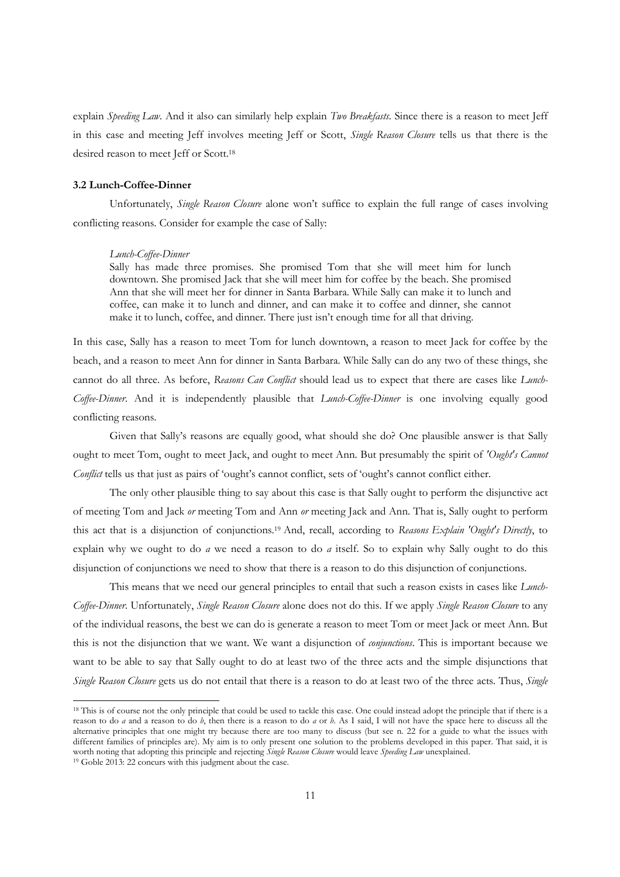explain *Speeding Law*. And it also can similarly help explain *Two Breakfasts*. Since there is a reason to meet Jeff in this case and meeting Jeff involves meeting Jeff or Scott, *Single Reason Closure* tells us that there is the desired reason to meet Jeff or Scott.<sup>18</sup>

# **3.2 Lunch-Coffee-Dinner**

Unfortunately, *Single Reason Closure* alone won't suffice to explain the full range of cases involving conflicting reasons. Consider for example the case of Sally:

#### *Lunch-Coffee-Dinner*

Sally has made three promises. She promised Tom that she will meet him for lunch downtown. She promised Jack that she will meet him for coffee by the beach. She promised Ann that she will meet her for dinner in Santa Barbara. While Sally can make it to lunch and coffee, can make it to lunch and dinner, and can make it to coffee and dinner, she cannot make it to lunch, coffee, and dinner. There just isn't enough time for all that driving.

In this case, Sally has a reason to meet Tom for lunch downtown, a reason to meet Jack for coffee by the beach, and a reason to meet Ann for dinner in Santa Barbara. While Sally can do any two of these things, she cannot do all three. As before, *Reasons Can Conflict* should lead us to expect that there are cases like *Lunch-Coffee-Dinner*. And it is independently plausible that *Lunch-Coffee-Dinner* is one involving equally good conflicting reasons.

 Given that Sally's reasons are equally good, what should she do? One plausible answer is that Sally ought to meet Tom, ought to meet Jack, and ought to meet Ann. But presumably the spirit of *'Ought's Cannot Conflict* tells us that just as pairs of 'ought's cannot conflict, sets of 'ought's cannot conflict either.

 The only other plausible thing to say about this case is that Sally ought to perform the disjunctive act of meeting Tom and Jack *or* meeting Tom and Ann *or* meeting Jack and Ann. That is, Sally ought to perform this act that is a disjunction of conjunctions.19 And, recall, according to *Reasons Explain 'Ought's Directly*, to explain why we ought to do *a* we need a reason to do *a* itself. So to explain why Sally ought to do this disjunction of conjunctions we need to show that there is a reason to do this disjunction of conjunctions.

 This means that we need our general principles to entail that such a reason exists in cases like *Lunch-Coffee-Dinner*. Unfortunately, *Single Reason Closure* alone does not do this. If we apply *Single Reason Closure* to any of the individual reasons, the best we can do is generate a reason to meet Tom or meet Jack or meet Ann. But this is not the disjunction that we want. We want a disjunction of *conjunctions*. This is important because we want to be able to say that Sally ought to do at least two of the three acts and the simple disjunctions that *Single Reason Closure* gets us do not entail that there is a reason to do at least two of the three acts. Thus, *Single* 

<sup>&</sup>lt;sup>18</sup> This is of course not the only principle that could be used to tackle this case. One could instead adopt the principle that if there is a reason to do *a* and a reason to do *b*, then there is a reason to do *a* or *b*. As I said, I will not have the space here to discuss all the alternative principles that one might try because there are too many to discuss (but see n. 22 for a guide to what the issues with different families of principles are). My aim is to only present one solution to the problems developed in this paper. That said, it is worth noting that adopting this principle and rejecting *Single Reason Closure* would leave *Speeding Law* unexplained. 19 Goble 2013: 22 concurs with this judgment about the case.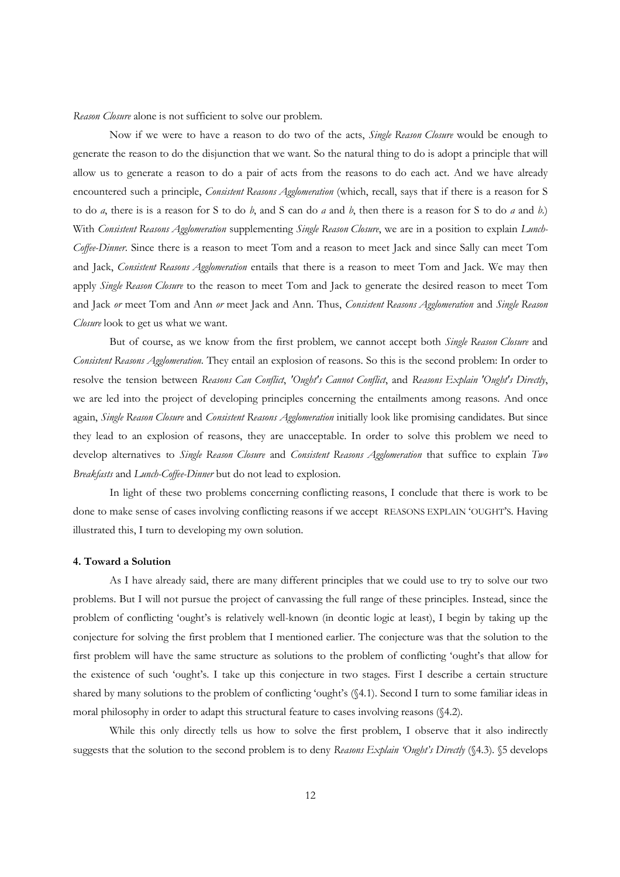*Reason Closure* alone is not sufficient to solve our problem.

Now if we were to have a reason to do two of the acts, *Single Reason Closure* would be enough to generate the reason to do the disjunction that we want. So the natural thing to do is adopt a principle that will allow us to generate a reason to do a pair of acts from the reasons to do each act. And we have already encountered such a principle, *Consistent Reasons Agglomeration* (which, recall, says that if there is a reason for S to do *a*, there is is a reason for S to do *b*, and S can do *a* and *b*, then there is a reason for S to do *a* and *b*.) With *Consistent Reasons Agglomeration* supplementing *Single Reason Closure*, we are in a position to explain *Lunch-Coffee-Dinner*. Since there is a reason to meet Tom and a reason to meet Jack and since Sally can meet Tom and Jack, *Consistent Reasons Agglomeration* entails that there is a reason to meet Tom and Jack. We may then apply *Single Reason Closure* to the reason to meet Tom and Jack to generate the desired reason to meet Tom and Jack *or* meet Tom and Ann *or* meet Jack and Ann. Thus, *Consistent Reasons Agglomeration* and *Single Reason Closure* look to get us what we want.

 But of course, as we know from the first problem, we cannot accept both *Single Reason Closure* and *Consistent Reasons Agglomeration*. They entail an explosion of reasons. So this is the second problem: In order to resolve the tension between *Reasons Can Conflict*, *'Ought's Cannot Conflict*, and *Reasons Explain 'Ought's Directly*, we are led into the project of developing principles concerning the entailments among reasons. And once again, *Single Reason Closure* and *Consistent Reasons Agglomeration* initially look like promising candidates. But since they lead to an explosion of reasons, they are unacceptable. In order to solve this problem we need to develop alternatives to *Single Reason Closure* and *Consistent Reasons Agglomeration* that suffice to explain *Two Breakfasts* and *Lunch-Coffee-Dinner* but do not lead to explosion.

 In light of these two problems concerning conflicting reasons, I conclude that there is work to be done to make sense of cases involving conflicting reasons if we accept REASONS EXPLAIN 'OUGHT'S. Having illustrated this, I turn to developing my own solution.

#### **4. Toward a Solution**

 As I have already said, there are many different principles that we could use to try to solve our two problems. But I will not pursue the project of canvassing the full range of these principles. Instead, since the problem of conflicting 'ought's is relatively well-known (in deontic logic at least), I begin by taking up the conjecture for solving the first problem that I mentioned earlier. The conjecture was that the solution to the first problem will have the same structure as solutions to the problem of conflicting 'ought's that allow for the existence of such 'ought's. I take up this conjecture in two stages. First I describe a certain structure shared by many solutions to the problem of conflicting 'ought's (§4.1). Second I turn to some familiar ideas in moral philosophy in order to adapt this structural feature to cases involving reasons (§4.2).

While this only directly tells us how to solve the first problem, I observe that it also indirectly suggests that the solution to the second problem is to deny *Reasons Explain 'Ought's Directly* (§4.3). §5 develops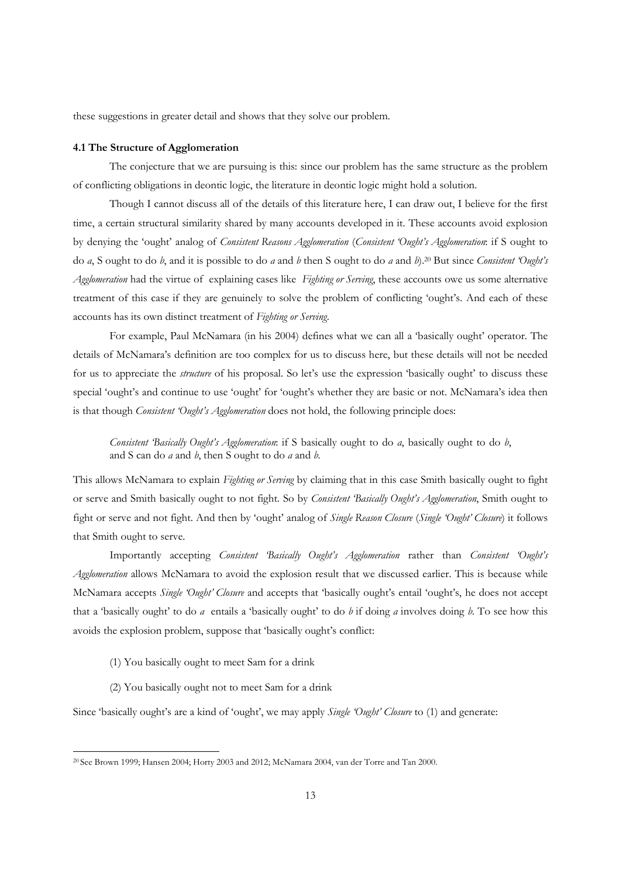these suggestions in greater detail and shows that they solve our problem.

## **4.1 The Structure of Agglomeration**

The conjecture that we are pursuing is this: since our problem has the same structure as the problem of conflicting obligations in deontic logic, the literature in deontic logic might hold a solution.

 Though I cannot discuss all of the details of this literature here, I can draw out, I believe for the first time, a certain structural similarity shared by many accounts developed in it. These accounts avoid explosion by denying the 'ought' analog of *Consistent Reasons Agglomeration* (*Consistent 'Ought's Agglomeration*: if S ought to do *a*, S ought to do *b*, and it is possible to do *a* and *b* then S ought to do *a* and *b*).20 But since *Consistent 'Ought's Agglomeration* had the virtue of explaining cases like *Fighting or Serving*, these accounts owe us some alternative treatment of this case if they are genuinely to solve the problem of conflicting 'ought's. And each of these accounts has its own distinct treatment of *Fighting or Serving*.

For example, Paul McNamara (in his 2004) defines what we can all a 'basically ought' operator. The details of McNamara's definition are too complex for us to discuss here, but these details will not be needed for us to appreciate the *structure* of his proposal. So let's use the expression 'basically ought' to discuss these special 'ought's and continue to use 'ought' for 'ought's whether they are basic or not. McNamara's idea then is that though *Consistent 'Ought's Agglomeration* does not hold, the following principle does:

*Consistent 'Basically Ought's Agglomeration*: if S basically ought to do *a*, basically ought to do *b*, and S can do *a* and *b*, then S ought to do *a* and *b*.

This allows McNamara to explain *Fighting or Serving* by claiming that in this case Smith basically ought to fight or serve and Smith basically ought to not fight. So by *Consistent 'Basically Ought's Agglomeration*, Smith ought to fight or serve and not fight. And then by 'ought' analog of *Single Reason Closure* (*Single 'Ought' Closure*) it follows that Smith ought to serve.

 Importantly accepting *Consistent 'Basically Ought's Agglomeration* rather than *Consistent 'Ought's Agglomeration* allows McNamara to avoid the explosion result that we discussed earlier. This is because while McNamara accepts *Single 'Ought' Closure* and accepts that 'basically ought's entail 'ought's, he does not accept that a 'basically ought' to do *a* entails a 'basically ought' to do *b* if doing *a* involves doing *b*. To see how this avoids the explosion problem, suppose that 'basically ought's conflict:

(1) You basically ought to meet Sam for a drink

1

(2) You basically ought not to meet Sam for a drink

Since 'basically ought's are a kind of 'ought', we may apply *Single 'Ought' Closure* to (1) and generate:

<sup>20</sup> See Brown 1999; Hansen 2004; Horty 2003 and 2012; McNamara 2004, van der Torre and Tan 2000.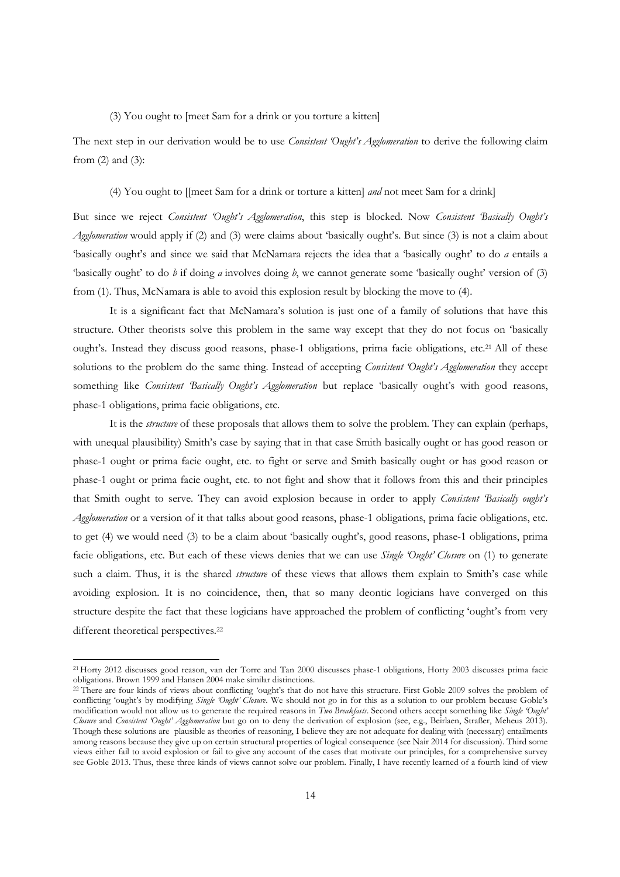#### (3) You ought to [meet Sam for a drink or you torture a kitten]

The next step in our derivation would be to use *Consistent 'Ought's Agglomeration* to derive the following claim from (2) and (3):

# (4) You ought to [[meet Sam for a drink or torture a kitten] *and* not meet Sam for a drink]

But since we reject *Consistent 'Ought's Agglomeration*, this step is blocked. Now *Consistent 'Basically Ought's Agglomeration* would apply if (2) and (3) were claims about 'basically ought's. But since (3) is not a claim about 'basically ought's and since we said that McNamara rejects the idea that a 'basically ought' to do *a* entails a 'basically ought' to do *b* if doing *a* involves doing *b*, we cannot generate some 'basically ought' version of (3) from (1). Thus, McNamara is able to avoid this explosion result by blocking the move to (4).

 It is a significant fact that McNamara's solution is just one of a family of solutions that have this structure. Other theorists solve this problem in the same way except that they do not focus on 'basically ought's. Instead they discuss good reasons, phase-1 obligations, prima facie obligations, etc.<sup>21</sup> All of these solutions to the problem do the same thing. Instead of accepting *Consistent 'Ought's Agglomeration* they accept something like *Consistent 'Basically Ought's Agglomeration* but replace 'basically ought's with good reasons, phase-1 obligations, prima facie obligations, etc.

It is the *structure* of these proposals that allows them to solve the problem. They can explain (perhaps, with unequal plausibility) Smith's case by saying that in that case Smith basically ought or has good reason or phase-1 ought or prima facie ought, etc. to fight or serve and Smith basically ought or has good reason or phase-1 ought or prima facie ought, etc. to not fight and show that it follows from this and their principles that Smith ought to serve. They can avoid explosion because in order to apply *Consistent 'Basically ought's Agglomeration* or a version of it that talks about good reasons, phase-1 obligations, prima facie obligations, etc. to get (4) we would need (3) to be a claim about 'basically ought's, good reasons, phase-1 obligations, prima facie obligations, etc. But each of these views denies that we can use *Single 'Ought' Closure* on (1) to generate such a claim. Thus, it is the shared *structure* of these views that allows them explain to Smith's case while avoiding explosion. It is no coincidence, then, that so many deontic logicians have converged on this structure despite the fact that these logicians have approached the problem of conflicting 'ought's from very different theoretical perspectives.<sup>22</sup>

<sup>21</sup>Horty 2012 discusses good reason, van der Torre and Tan 2000 discusses phase-1 obligations, Horty 2003 discusses prima facie obligations. Brown 1999 and Hansen 2004 make similar distinctions.

<sup>&</sup>lt;sup>22</sup> There are four kinds of views about conflicting 'ought's that do not have this structure. First Goble 2009 solves the problem of conflicting 'ought's by modifying *Single 'Ought' Closure*. We should not go in for this as a solution to our problem because Goble's modification would not allow us to generate the required reasons in *Two Breakfasts*. Second others accept something like *Single 'Ought' Closure* and *Consistent 'Ought' Agglomeration* but go on to deny the derivation of explosion (see, e.g., Beirlaen, Straßer, Meheus 2013). Though these solutions are plausible as theories of reasoning, I believe they are not adequate for dealing with (necessary) entailments among reasons because they give up on certain structural properties of logical consequence (see Nair 2014 for discussion). Third some views either fail to avoid explosion or fail to give any account of the cases that motivate our principles, for a comprehensive survey see Goble 2013. Thus, these three kinds of views cannot solve our problem. Finally, I have recently learned of a fourth kind of view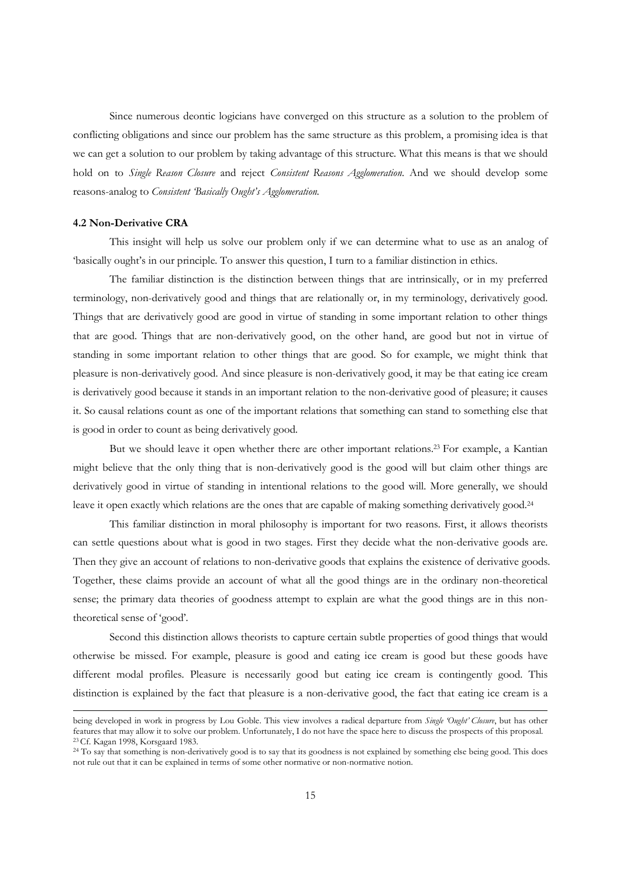Since numerous deontic logicians have converged on this structure as a solution to the problem of conflicting obligations and since our problem has the same structure as this problem, a promising idea is that we can get a solution to our problem by taking advantage of this structure. What this means is that we should hold on to *Single Reason Closure* and reject *Consistent Reasons Agglomeration*. And we should develop some reasons-analog to *Consistent 'Basically Ought's Agglomeration*.

# **4.2 Non-Derivative CRA**

1

This insight will help us solve our problem only if we can determine what to use as an analog of 'basically ought's in our principle. To answer this question, I turn to a familiar distinction in ethics.

 The familiar distinction is the distinction between things that are intrinsically, or in my preferred terminology, non-derivatively good and things that are relationally or, in my terminology, derivatively good. Things that are derivatively good are good in virtue of standing in some important relation to other things that are good. Things that are non-derivatively good, on the other hand, are good but not in virtue of standing in some important relation to other things that are good. So for example, we might think that pleasure is non-derivatively good. And since pleasure is non-derivatively good, it may be that eating ice cream is derivatively good because it stands in an important relation to the non-derivative good of pleasure; it causes it. So causal relations count as one of the important relations that something can stand to something else that is good in order to count as being derivatively good.

But we should leave it open whether there are other important relations.<sup>23</sup> For example, a Kantian might believe that the only thing that is non-derivatively good is the good will but claim other things are derivatively good in virtue of standing in intentional relations to the good will. More generally, we should leave it open exactly which relations are the ones that are capable of making something derivatively good.<sup>24</sup>

 This familiar distinction in moral philosophy is important for two reasons. First, it allows theorists can settle questions about what is good in two stages. First they decide what the non-derivative goods are. Then they give an account of relations to non-derivative goods that explains the existence of derivative goods. Together, these claims provide an account of what all the good things are in the ordinary non-theoretical sense; the primary data theories of goodness attempt to explain are what the good things are in this nontheoretical sense of 'good'.

Second this distinction allows theorists to capture certain subtle properties of good things that would otherwise be missed. For example, pleasure is good and eating ice cream is good but these goods have different modal profiles. Pleasure is necessarily good but eating ice cream is contingently good. This distinction is explained by the fact that pleasure is a non-derivative good, the fact that eating ice cream is a

being developed in work in progress by Lou Goble. This view involves a radical departure from *Single 'Ought' Closure*, but has other features that may allow it to solve our problem. Unfortunately, I do not have the space here to discuss the prospects of this proposal. <sup>23</sup>Cf. Kagan 1998, Korsgaard 1983.

<sup>&</sup>lt;sup>24</sup> To say that something is non-derivatively good is to say that its goodness is not explained by something else being good. This does not rule out that it can be explained in terms of some other normative or non-normative notion.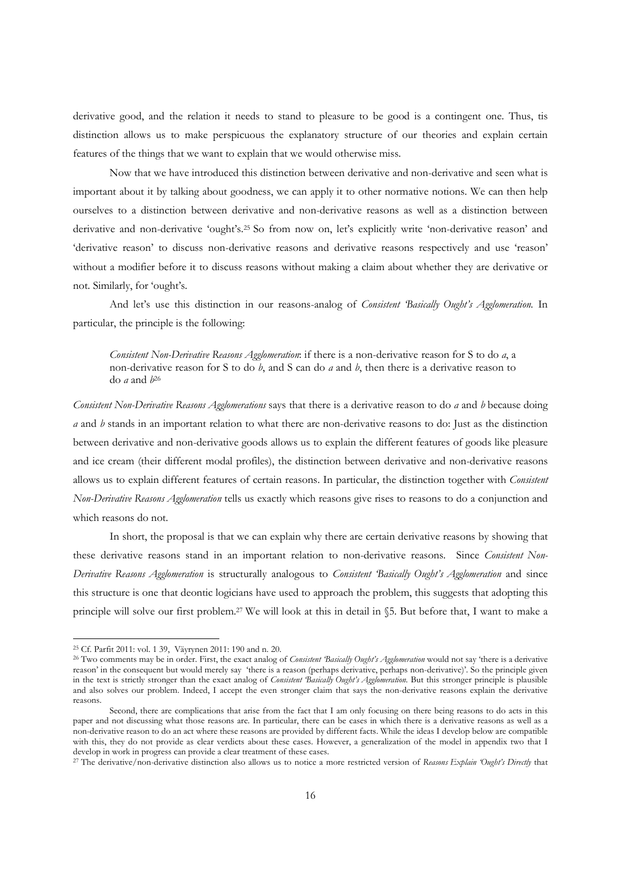derivative good, and the relation it needs to stand to pleasure to be good is a contingent one. Thus, tis distinction allows us to make perspicuous the explanatory structure of our theories and explain certain features of the things that we want to explain that we would otherwise miss.

Now that we have introduced this distinction between derivative and non-derivative and seen what is important about it by talking about goodness, we can apply it to other normative notions. We can then help ourselves to a distinction between derivative and non-derivative reasons as well as a distinction between derivative and non-derivative 'ought's.25 So from now on, let's explicitly write 'non-derivative reason' and 'derivative reason' to discuss non-derivative reasons and derivative reasons respectively and use 'reason' without a modifier before it to discuss reasons without making a claim about whether they are derivative or not. Similarly, for 'ought's.

 And let's use this distinction in our reasons-analog of *Consistent 'Basically Ought's Agglomeration*. In particular, the principle is the following:

*Consistent Non-Derivative Reasons Agglomeration*: if there is a non-derivative reason for S to do *a*, a non-derivative reason for S to do *b*, and S can do *a* and *b*, then there is a derivative reason to do *a* and *b* 26

*Consistent Non-Derivative Reasons Agglomerations* says that there is a derivative reason to do *a* and *b* because doing *a* and *b* stands in an important relation to what there are non-derivative reasons to do: Just as the distinction between derivative and non-derivative goods allows us to explain the different features of goods like pleasure and ice cream (their different modal profiles), the distinction between derivative and non-derivative reasons allows us to explain different features of certain reasons. In particular, the distinction together with *Consistent Non-Derivative Reasons Agglomeration* tells us exactly which reasons give rises to reasons to do a conjunction and which reasons do not.

In short, the proposal is that we can explain why there are certain derivative reasons by showing that these derivative reasons stand in an important relation to non-derivative reasons. Since *Consistent Non-Derivative Reasons Agglomeration* is structurally analogous to *Consistent 'Basically Ought's Agglomeration* and since this structure is one that deontic logicians have used to approach the problem, this suggests that adopting this principle will solve our first problem.27 We will look at this in detail in §5. But before that, I want to make a

<sup>25</sup> Cf. Parfit 2011: vol. 1 39, Väyrynen 2011: 190 and n. 20.

<sup>26</sup> Two comments may be in order. First, the exact analog of *Consistent 'Basically Ought's Agglomeration* would not say 'there is a derivative reason' in the consequent but would merely say 'there is a reason (perhaps derivative, perhaps non-derivative)'. So the principle given in the text is strictly stronger than the exact analog of *Consistent 'Basically Ought's Agglomeration*. But this stronger principle is plausible and also solves our problem. Indeed, I accept the even stronger claim that says the non-derivative reasons explain the derivative reasons.

Second, there are complications that arise from the fact that I am only focusing on there being reasons to do acts in this paper and not discussing what those reasons are. In particular, there can be cases in which there is a derivative reasons as well as a non-derivative reason to do an act where these reasons are provided by different facts. While the ideas I develop below are compatible with this, they do not provide as clear verdicts about these cases. However, a generalization of the model in appendix two that I develop in work in progress can provide a clear treatment of these cases.

<sup>27</sup> The derivative/non-derivative distinction also allows us to notice a more restricted version of *Reasons Explain 'Ought's Directly* that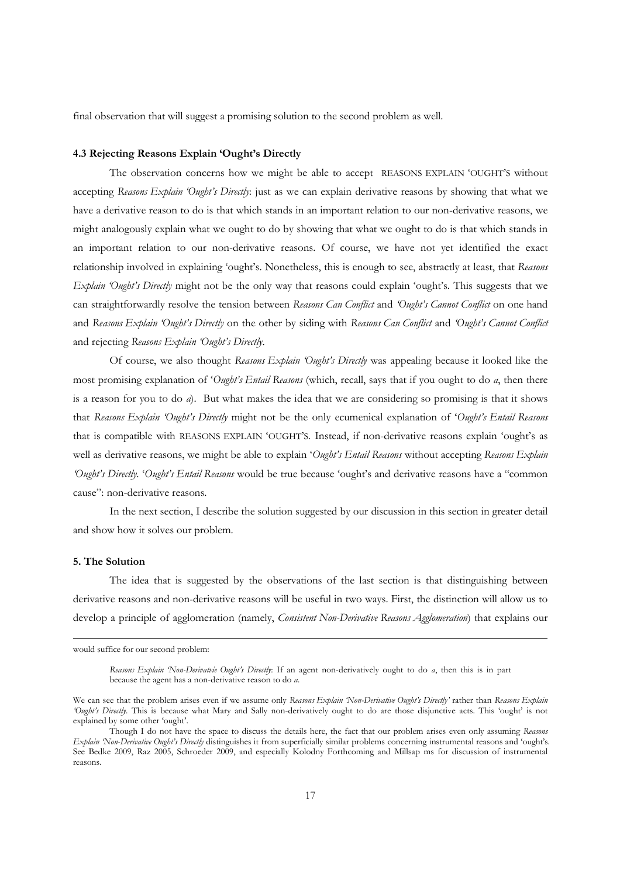final observation that will suggest a promising solution to the second problem as well.

# **4.3 Rejecting Reasons Explain 'Ought's Directly**

 The observation concerns how we might be able to accept REASONS EXPLAIN 'OUGHT'S without accepting *Reasons Explain 'Ought's Directly*: just as we can explain derivative reasons by showing that what we have a derivative reason to do is that which stands in an important relation to our non-derivative reasons, we might analogously explain what we ought to do by showing that what we ought to do is that which stands in an important relation to our non-derivative reasons. Of course, we have not yet identified the exact relationship involved in explaining 'ought's. Nonetheless, this is enough to see, abstractly at least, that *Reasons Explain 'Ought's Directly* might not be the only way that reasons could explain 'ought's. This suggests that we can straightforwardly resolve the tension between *Reasons Can Conflict* and *'Ought's Cannot Conflict* on one hand and *Reasons Explain 'Ought's Directly* on the other by siding with *Reasons Can Conflict* and *'Ought's Cannot Conflict*  and rejecting *Reasons Explain 'Ought's Directly*.

Of course, we also thought *Reasons Explain 'Ought's Directly* was appealing because it looked like the most promising explanation of '*Ought's Entail Reasons* (which, recall, says that if you ought to do *a*, then there is a reason for you to do *a*). But what makes the idea that we are considering so promising is that it shows that *Reasons Explain 'Ought's Directly* might not be the only ecumenical explanation of '*Ought's Entail Reasons*  that is compatible with REASONS EXPLAIN 'OUGHT'S. Instead, if non-derivative reasons explain 'ought's as well as derivative reasons, we might be able to explain '*Ought's Entail Reasons* without accepting *Reasons Explain 'Ought's Directly*. '*Ought's Entail Reasons* would be true because 'ought's and derivative reasons have a "common cause": non-derivative reasons.

In the next section, I describe the solution suggested by our discussion in this section in greater detail and show how it solves our problem.

#### **5. The Solution**

1

 The idea that is suggested by the observations of the last section is that distinguishing between derivative reasons and non-derivative reasons will be useful in two ways. First, the distinction will allow us to develop a principle of agglomeration (namely, *Consistent Non-Derivative Reasons Agglomeration*) that explains our

would suffice for our second problem:

*Reasons Explain 'Non-Derivatvie Ought's Directly*: If an agent non-derivatively ought to do *a*, then this is in part because the agent has a non-derivative reason to do *a*.

We can see that the problem arises even if we assume only *Reasons Explain 'Non-Derivative Ought's Directly'* rather than *Reasons Explain 'Ought's Directly*. This is because what Mary and Sally non-derivatively ought to do are those disjunctive acts. This 'ought' is not explained by some other 'ought'.

Though I do not have the space to discuss the details here, the fact that our problem arises even only assuming *Reasons Explain 'Non-Derivative Ought's Directly* distinguishes it from superficially similar problems concerning instrumental reasons and 'ought's. See Bedke 2009, Raz 2005, Schroeder 2009, and especially Kolodny Forthcoming and Millsap ms for discussion of instrumental reasons.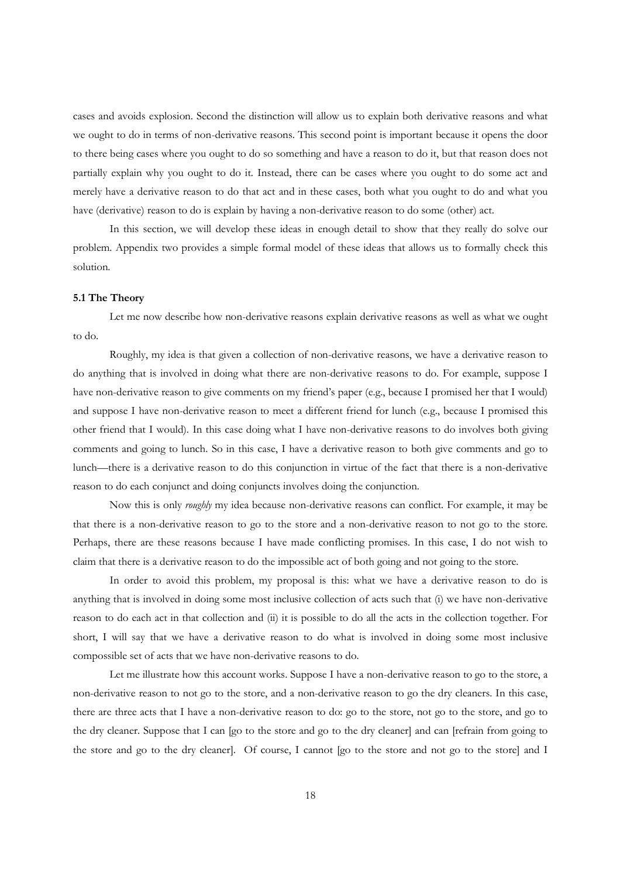cases and avoids explosion. Second the distinction will allow us to explain both derivative reasons and what we ought to do in terms of non-derivative reasons. This second point is important because it opens the door to there being cases where you ought to do so something and have a reason to do it, but that reason does not partially explain why you ought to do it. Instead, there can be cases where you ought to do some act and merely have a derivative reason to do that act and in these cases, both what you ought to do and what you have (derivative) reason to do is explain by having a non-derivative reason to do some (other) act.

 In this section, we will develop these ideas in enough detail to show that they really do solve our problem. Appendix two provides a simple formal model of these ideas that allows us to formally check this solution.

#### **5.1 The Theory**

 Let me now describe how non-derivative reasons explain derivative reasons as well as what we ought to do.

 Roughly, my idea is that given a collection of non-derivative reasons, we have a derivative reason to do anything that is involved in doing what there are non-derivative reasons to do. For example, suppose I have non-derivative reason to give comments on my friend's paper (e.g., because I promised her that I would) and suppose I have non-derivative reason to meet a different friend for lunch (e.g., because I promised this other friend that I would). In this case doing what I have non-derivative reasons to do involves both giving comments and going to lunch. So in this case, I have a derivative reason to both give comments and go to lunch—there is a derivative reason to do this conjunction in virtue of the fact that there is a non-derivative reason to do each conjunct and doing conjuncts involves doing the conjunction.

 Now this is only *roughly* my idea because non-derivative reasons can conflict. For example, it may be that there is a non-derivative reason to go to the store and a non-derivative reason to not go to the store. Perhaps, there are these reasons because I have made conflicting promises. In this case, I do not wish to claim that there is a derivative reason to do the impossible act of both going and not going to the store.

 In order to avoid this problem, my proposal is this: what we have a derivative reason to do is anything that is involved in doing some most inclusive collection of acts such that (i) we have non-derivative reason to do each act in that collection and (ii) it is possible to do all the acts in the collection together. For short, I will say that we have a derivative reason to do what is involved in doing some most inclusive compossible set of acts that we have non-derivative reasons to do.

Let me illustrate how this account works. Suppose I have a non-derivative reason to go to the store, a non-derivative reason to not go to the store, and a non-derivative reason to go the dry cleaners. In this case, there are three acts that I have a non-derivative reason to do: go to the store, not go to the store, and go to the dry cleaner. Suppose that I can [go to the store and go to the dry cleaner] and can [refrain from going to the store and go to the dry cleaner]. Of course, I cannot [go to the store and not go to the store] and I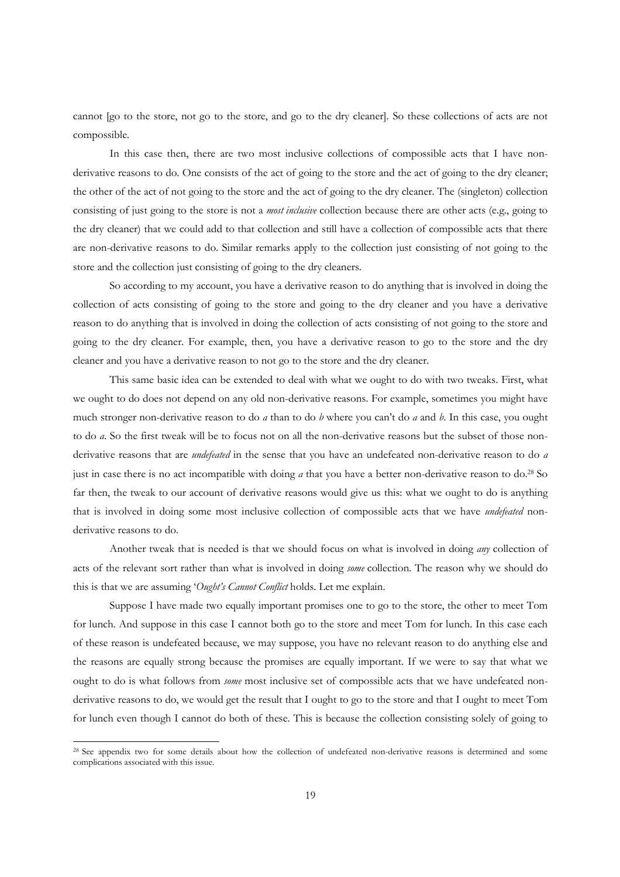cannot [go to the store, not go to the store, and go to the dry cleaner]. So these collections of acts are not compossible.

In this case then, there are two most inclusive collections of compossible acts that I have nonderivative reasons to do. One consists of the act of going to the store and the act of going to the dry cleaner; the other of the act of not going to the store and the act of going to the dry cleaner. The (singleton) collection consisting of just going to the store is not a *most inclusive* collection because there are other acts (e.g., going to the dry cleaner) that we could add to that collection and still have a collection of compossible acts that there are non-derivative reasons to do. Similar remarks apply to the collection just consisting of not going to the store and the collection just consisting of going to the dry cleaners.

 So according to my account, you have a derivative reason to do anything that is involved in doing the collection of acts consisting of going to the store and going to the dry cleaner and you have a derivative reason to do anything that is involved in doing the collection of acts consisting of not going to the store and going to the dry cleaner. For example, then, you have a derivative reason to go to the store and the dry cleaner and you have a derivative reason to not go to the store and the dry cleaner.

 This same basic idea can be extended to deal with what we ought to do with two tweaks. First, what we ought to do does not depend on any old non-derivative reasons. For example, sometimes you might have much stronger non-derivative reason to do *a* than to do *b* where you can't do *a* and *b*. In this case, you ought to do *a*. So the first tweak will be to focus not on all the non-derivative reasons but the subset of those nonderivative reasons that are *undefeated* in the sense that you have an undefeated non-derivative reason to do *a* just in case there is no act incompatible with doing *a* that you have a better non-derivative reason to do. <sup>28</sup> So far then, the tweak to our account of derivative reasons would give us this: what we ought to do is anything that is involved in doing some most inclusive collection of compossible acts that we have *undefeated* nonderivative reasons to do.

 Another tweak that is needed is that we should focus on what is involved in doing *any* collection of acts of the relevant sort rather than what is involved in doing *some* collection. The reason why we should do this is that we are assuming '*Ought's Cannot Conflict* holds. Let me explain.

 Suppose I have made two equally important promises one to go to the store, the other to meet Tom for lunch. And suppose in this case I cannot both go to the store and meet Tom for lunch. In this case each of these reason is undefeated because, we may suppose, you have no relevant reason to do anything else and the reasons are equally strong because the promises are equally important. If we were to say that what we ought to do is what follows from *some* most inclusive set of compossible acts that we have undefeated nonderivative reasons to do, we would get the result that I ought to go to the store and that I ought to meet Tom for lunch even though I cannot do both of these. This is because the collection consisting solely of going to

<sup>28</sup> See appendix two for some details about how the collection of undefeated non-derivative reasons is determined and some complications associated with this issue.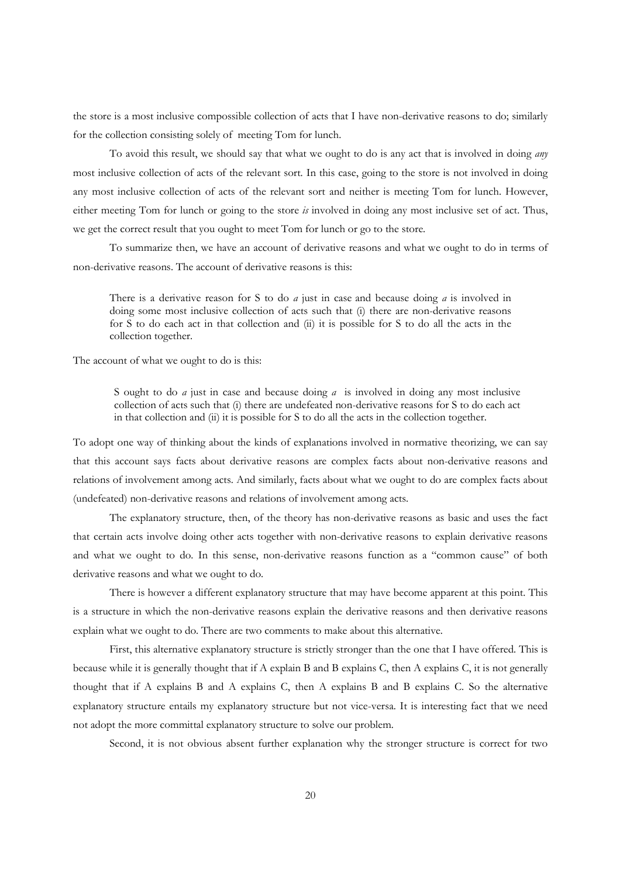the store is a most inclusive compossible collection of acts that I have non-derivative reasons to do; similarly for the collection consisting solely of meeting Tom for lunch.

 To avoid this result, we should say that what we ought to do is any act that is involved in doing *any* most inclusive collection of acts of the relevant sort. In this case, going to the store is not involved in doing any most inclusive collection of acts of the relevant sort and neither is meeting Tom for lunch. However, either meeting Tom for lunch or going to the store *is* involved in doing any most inclusive set of act. Thus, we get the correct result that you ought to meet Tom for lunch or go to the store.

To summarize then, we have an account of derivative reasons and what we ought to do in terms of non-derivative reasons. The account of derivative reasons is this:

There is a derivative reason for S to do *a* just in case and because doing *a* is involved in doing some most inclusive collection of acts such that (i) there are non-derivative reasons for S to do each act in that collection and (ii) it is possible for S to do all the acts in the collection together.

The account of what we ought to do is this:

S ought to do *a* just in case and because doing *a* is involved in doing any most inclusive collection of acts such that (i) there are undefeated non-derivative reasons for S to do each act in that collection and (ii) it is possible for S to do all the acts in the collection together.

To adopt one way of thinking about the kinds of explanations involved in normative theorizing, we can say that this account says facts about derivative reasons are complex facts about non-derivative reasons and relations of involvement among acts. And similarly, facts about what we ought to do are complex facts about (undefeated) non-derivative reasons and relations of involvement among acts.

 The explanatory structure, then, of the theory has non-derivative reasons as basic and uses the fact that certain acts involve doing other acts together with non-derivative reasons to explain derivative reasons and what we ought to do. In this sense, non-derivative reasons function as a "common cause" of both derivative reasons and what we ought to do.

There is however a different explanatory structure that may have become apparent at this point. This is a structure in which the non-derivative reasons explain the derivative reasons and then derivative reasons explain what we ought to do. There are two comments to make about this alternative.

First, this alternative explanatory structure is strictly stronger than the one that I have offered. This is because while it is generally thought that if A explain B and B explains C, then A explains C, it is not generally thought that if A explains B and A explains C, then A explains B and B explains C. So the alternative explanatory structure entails my explanatory structure but not vice-versa. It is interesting fact that we need not adopt the more committal explanatory structure to solve our problem.

Second, it is not obvious absent further explanation why the stronger structure is correct for two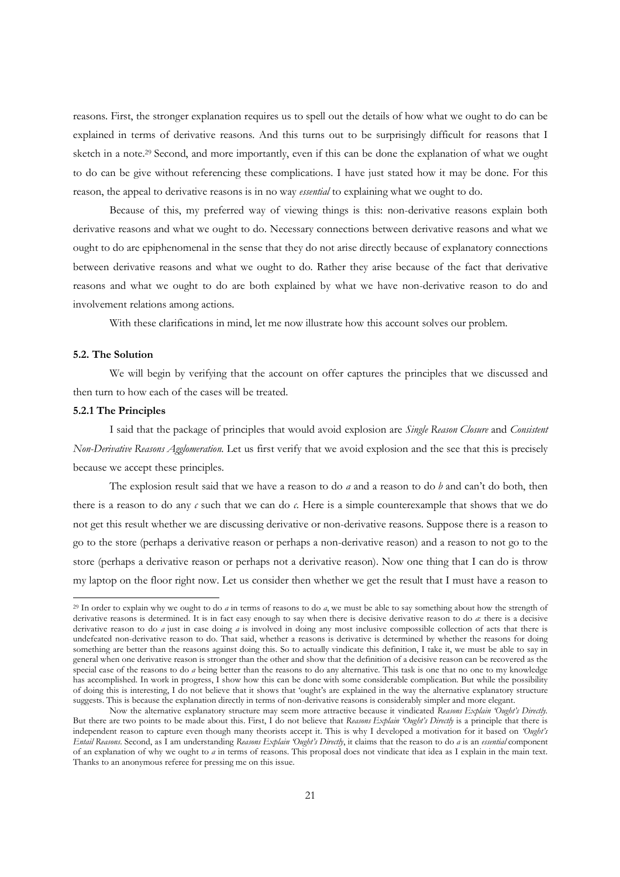reasons. First, the stronger explanation requires us to spell out the details of how what we ought to do can be explained in terms of derivative reasons. And this turns out to be surprisingly difficult for reasons that I sketch in a note.29 Second, and more importantly, even if this can be done the explanation of what we ought to do can be give without referencing these complications. I have just stated how it may be done. For this reason, the appeal to derivative reasons is in no way *essential* to explaining what we ought to do.

Because of this, my preferred way of viewing things is this: non-derivative reasons explain both derivative reasons and what we ought to do. Necessary connections between derivative reasons and what we ought to do are epiphenomenal in the sense that they do not arise directly because of explanatory connections between derivative reasons and what we ought to do. Rather they arise because of the fact that derivative reasons and what we ought to do are both explained by what we have non-derivative reason to do and involvement relations among actions.

With these clarifications in mind, let me now illustrate how this account solves our problem.

# **5.2. The Solution**

 We will begin by verifying that the account on offer captures the principles that we discussed and then turn to how each of the cases will be treated.

#### **5.2.1 The Principles**

1

 I said that the package of principles that would avoid explosion are *Single Reason Closure* and *Consistent Non-Derivative Reasons Agglomeration*. Let us first verify that we avoid explosion and the see that this is precisely because we accept these principles.

 The explosion result said that we have a reason to do *a* and a reason to do *b* and can't do both, then there is a reason to do any *c* such that we can do *c*. Here is a simple counterexample that shows that we do not get this result whether we are discussing derivative or non-derivative reasons. Suppose there is a reason to go to the store (perhaps a derivative reason or perhaps a non-derivative reason) and a reason to not go to the store (perhaps a derivative reason or perhaps not a derivative reason). Now one thing that I can do is throw my laptop on the floor right now. Let us consider then whether we get the result that I must have a reason to

<sup>&</sup>lt;sup>29</sup> In order to explain why we ought to do *a* in terms of reasons to do *a*, we must be able to say something about how the strength of derivative reasons is determined. It is in fact easy enough to say when there is decisive derivative reason to do *a*: there is a decisive derivative reason to do *a* just in case doing *a* is involved in doing any most inclusive compossible collection of acts that there is undefeated non-derivative reason to do. That said, whether a reasons is derivative is determined by whether the reasons for doing something are better than the reasons against doing this. So to actually vindicate this definition, I take it, we must be able to say in general when one derivative reason is stronger than the other and show that the definition of a decisive reason can be recovered as the special case of the reasons to do *a* being better than the reasons to do any alternative. This task is one that no one to my knowledge has accomplished. In work in progress, I show how this can be done with some considerable complication. But while the possibility of doing this is interesting, I do not believe that it shows that 'ought's are explained in the way the alternative explanatory structure suggests. This is because the explanation directly in terms of non-derivative reasons is considerably simpler and more elegant.

Now the alternative explanatory structure may seem more attractive because it vindicated *Reasons Explain 'Ought's Directly*. But there are two points to be made about this. First, I do not believe that *Reasons Explain 'Ought's Directly* is a principle that there is independent reason to capture even though many theorists accept it. This is why I developed a motivation for it based on *'Ought's Entail Reasons*. Second, as I am understanding *Reasons Explain 'Ought's Directly*, it claims that the reason to do *a* is an *essential* component of an explanation of why we ought to *a* in terms of reasons. This proposal does not vindicate that idea as I explain in the main text. Thanks to an anonymous referee for pressing me on this issue.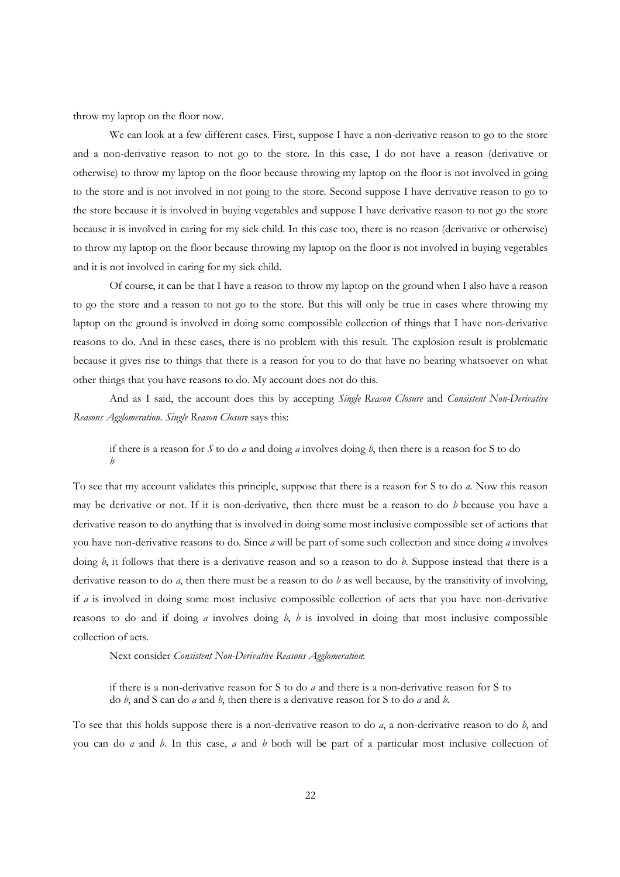throw my laptop on the floor now.

We can look at a few different cases. First, suppose I have a non-derivative reason to go to the store and a non-derivative reason to not go to the store. In this case, I do not have a reason (derivative or otherwise) to throw my laptop on the floor because throwing my laptop on the floor is not involved in going to the store and is not involved in not going to the store. Second suppose I have derivative reason to go to the store because it is involved in buying vegetables and suppose I have derivative reason to not go the store because it is involved in caring for my sick child. In this case too, there is no reason (derivative or otherwise) to throw my laptop on the floor because throwing my laptop on the floor is not involved in buying vegetables and it is not involved in caring for my sick child.

 Of course, it can be that I have a reason to throw my laptop on the ground when I also have a reason to go the store and a reason to not go to the store. But this will only be true in cases where throwing my laptop on the ground is involved in doing some compossible collection of things that I have non-derivative reasons to do. And in these cases, there is no problem with this result. The explosion result is problematic because it gives rise to things that there is a reason for you to do that have no bearing whatsoever on what other things that you have reasons to do. My account does not do this.

 And as I said, the account does this by accepting *Single Reason Closure* and *Consistent Non-Derivative Reasons Agglomeration*. *Single Reason Closure* says this:

if there is a reason for *S* to do *a* and doing *a* involves doing *b*, then there is a reason for S to do *b*

To see that my account validates this principle, suppose that there is a reason for S to do *a*. Now this reason may be derivative or not. If it is non-derivative, then there must be a reason to do *b* because you have a derivative reason to do anything that is involved in doing some most inclusive compossible set of actions that you have non-derivative reasons to do. Since *a* will be part of some such collection and since doing *a* involves doing *b*, it follows that there is a derivative reason and so a reason to do *b*. Suppose instead that there is a derivative reason to do *a*, then there must be a reason to do *b* as well because, by the transitivity of involving, if *a* is involved in doing some most inclusive compossible collection of acts that you have non-derivative reasons to do and if doing *a* involves doing *b*, *b* is involved in doing that most inclusive compossible collection of acts.

Next consider *Consistent Non-Derivative Reasons Agglomeration*:

if there is a non-derivative reason for S to do *a* and there is a non-derivative reason for S to do *b*, and S can do *a* and *b*, then there is a derivative reason for S to do *a* and *b*.

To see that this holds suppose there is a non-derivative reason to do *a*, a non-derivative reason to do *b*, and you can do *a* and *b*. In this case, *a* and *b* both will be part of a particular most inclusive collection of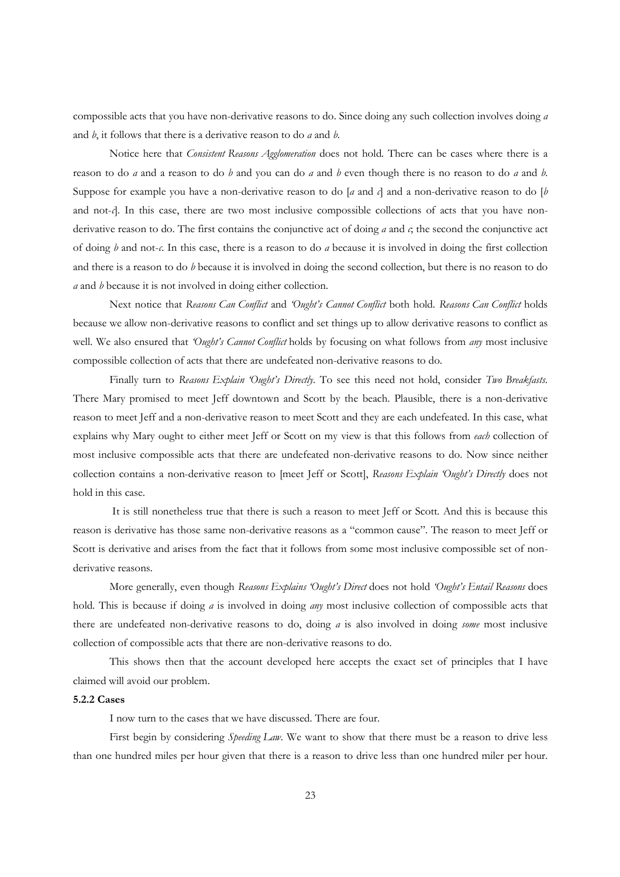compossible acts that you have non-derivative reasons to do. Since doing any such collection involves doing *a* and *b*, it follows that there is a derivative reason to do *a* and *b*.

 Notice here that *Consistent Reasons Agglomeration* does not hold. There can be cases where there is a reason to do *a* and a reason to do *b* and you can do *a* and *b* even though there is no reason to do *a* and *b*. Suppose for example you have a non-derivative reason to do [*a* and *c*] and a non-derivative reason to do [*b* and not-*c*]. In this case, there are two most inclusive compossible collections of acts that you have nonderivative reason to do. The first contains the conjunctive act of doing *a* and *c*; the second the conjunctive act of doing *b* and not-*c*. In this case, there is a reason to do *a* because it is involved in doing the first collection and there is a reason to do *b* because it is involved in doing the second collection, but there is no reason to do *a* and *b* because it is not involved in doing either collection.

 Next notice that *Reasons Can Conflict* and *'Ought's Cannot Conflict* both hold. *Reasons Can Conflict* holds because we allow non-derivative reasons to conflict and set things up to allow derivative reasons to conflict as well. We also ensured that *'Ought's Cannot Conflict* holds by focusing on what follows from *any* most inclusive compossible collection of acts that there are undefeated non-derivative reasons to do.

 Finally turn to *Reasons Explain 'Ought's Directly*. To see this need not hold, consider *Two Breakfasts*. There Mary promised to meet Jeff downtown and Scott by the beach. Plausible, there is a non-derivative reason to meet Jeff and a non-derivative reason to meet Scott and they are each undefeated. In this case, what explains why Mary ought to either meet Jeff or Scott on my view is that this follows from *each* collection of most inclusive compossible acts that there are undefeated non-derivative reasons to do. Now since neither collection contains a non-derivative reason to [meet Jeff or Scott], *Reasons Explain 'Ought's Directly* does not hold in this case.

 It is still nonetheless true that there is such a reason to meet Jeff or Scott. And this is because this reason is derivative has those same non-derivative reasons as a "common cause". The reason to meet Jeff or Scott is derivative and arises from the fact that it follows from some most inclusive compossible set of nonderivative reasons.

More generally, even though *Reasons Explains 'Ought's Direct* does not hold *'Ought's Entail Reasons* does hold. This is because if doing *a* is involved in doing *any* most inclusive collection of compossible acts that there are undefeated non-derivative reasons to do, doing *a* is also involved in doing *some* most inclusive collection of compossible acts that there are non-derivative reasons to do.

 This shows then that the account developed here accepts the exact set of principles that I have claimed will avoid our problem.

# **5.2.2 Cases**

I now turn to the cases that we have discussed. There are four.

First begin by considering *Speeding Law*. We want to show that there must be a reason to drive less than one hundred miles per hour given that there is a reason to drive less than one hundred miler per hour.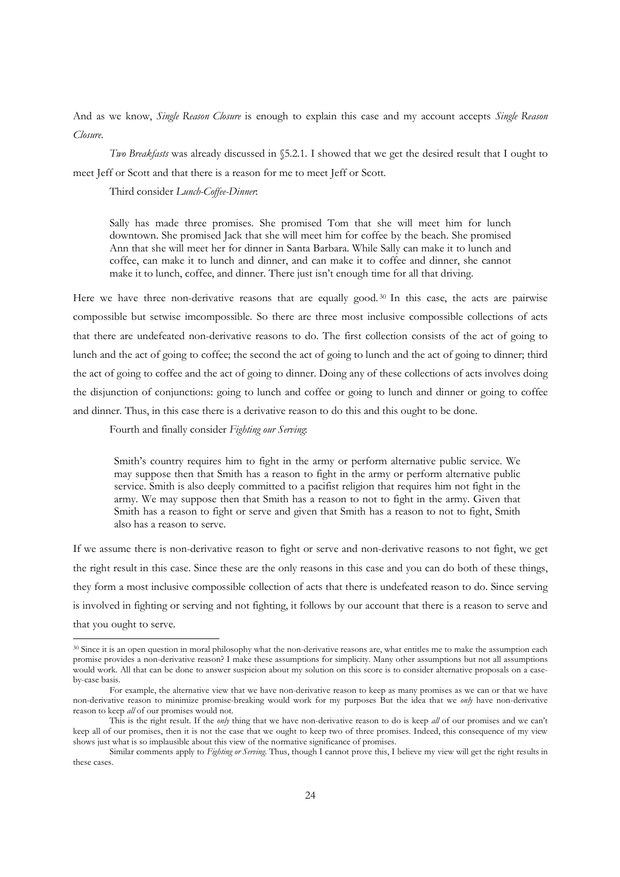And as we know, *Single Reason Closure* is enough to explain this case and my account accepts *Single Reason Closure*.

*Two Breakfasts* was already discussed in §5.2.1. I showed that we get the desired result that I ought to meet Jeff or Scott and that there is a reason for me to meet Jeff or Scott.

Third consider *Lunch-Coffee-Dinner*:

Sally has made three promises. She promised Tom that she will meet him for lunch downtown. She promised Jack that she will meet him for coffee by the beach. She promised Ann that she will meet her for dinner in Santa Barbara. While Sally can make it to lunch and coffee, can make it to lunch and dinner, and can make it to coffee and dinner, she cannot make it to lunch, coffee, and dinner. There just isn't enough time for all that driving.

Here we have three non-derivative reasons that are equally good.<sup>30</sup> In this case, the acts are pairwise compossible but setwise imcompossible. So there are three most inclusive compossible collections of acts that there are undefeated non-derivative reasons to do. The first collection consists of the act of going to lunch and the act of going to coffee; the second the act of going to lunch and the act of going to dinner; third the act of going to coffee and the act of going to dinner. Doing any of these collections of acts involves doing the disjunction of conjunctions: going to lunch and coffee or going to lunch and dinner or going to coffee and dinner. Thus, in this case there is a derivative reason to do this and this ought to be done.

Fourth and finally consider *Fighting our Serving*:

1

Smith's country requires him to fight in the army or perform alternative public service. We may suppose then that Smith has a reason to fight in the army or perform alternative public service. Smith is also deeply committed to a pacifist religion that requires him not fight in the army. We may suppose then that Smith has a reason to not to fight in the army. Given that Smith has a reason to fight or serve and given that Smith has a reason to not to fight, Smith also has a reason to serve.

If we assume there is non-derivative reason to fight or serve and non-derivative reasons to not fight, we get the right result in this case. Since these are the only reasons in this case and you can do both of these things, they form a most inclusive compossible collection of acts that there is undefeated reason to do. Since serving is involved in fighting or serving and not fighting, it follows by our account that there is a reason to serve and that you ought to serve.

<sup>&</sup>lt;sup>30</sup> Since it is an open question in moral philosophy what the non-derivative reasons are, what entitles me to make the assumption each promise provides a non-derivative reason? I make these assumptions for simplicity. Many other assumptions but not all assumptions would work. All that can be done to answer suspicion about my solution on this score is to consider alternative proposals on a caseby-case basis.

For example, the alternative view that we have non-derivative reason to keep as many promises as we can or that we have non-derivative reason to minimize promise-breaking would work for my purposes But the idea that we *only* have non-derivative reason to keep *all* of our promises would not.

This is the right result. If the *only* thing that we have non-derivative reason to do is keep *all* of our promises and we can't keep all of our promises, then it is not the case that we ought to keep two of three promises. Indeed, this consequence of my view shows just what is so implausible about this view of the normative significance of promises.

Similar comments apply to *Fighting or Serving*. Thus, though I cannot prove this, I believe my view will get the right results in these cases.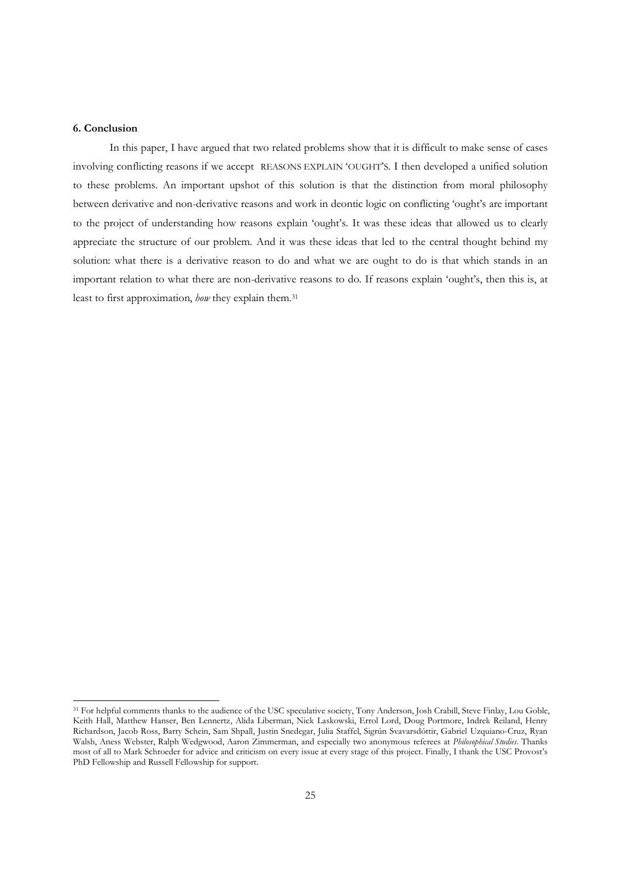#### **6. Conclusion**

1

In this paper, I have argued that two related problems show that it is difficult to make sense of cases involving conflicting reasons if we accept REASONS EXPLAIN 'OUGHT'S. I then developed a unified solution to these problems. An important upshot of this solution is that the distinction from moral philosophy between derivative and non-derivative reasons and work in deontic logic on conflicting 'ought's are important to the project of understanding how reasons explain 'ought's. It was these ideas that allowed us to clearly appreciate the structure of our problem. And it was these ideas that led to the central thought behind my solution: what there is a derivative reason to do and what we are ought to do is that which stands in an important relation to what there are non-derivative reasons to do. If reasons explain 'ought's, then this is, at least to first approximation, *how* they explain them.<sup>31</sup>

<sup>31</sup> For helpful comments thanks to the audience of the USC speculative society, Tony Anderson, Josh Crabill, Steve Finlay, Lou Goble, Keith Hall, Matthew Hanser, Ben Lennertz, Alida Liberman, Nick Laskowski, Errol Lord, Doug Portmore, Indrek Reiland, Henry Richardson, Jacob Ross, Barry Schein, Sam Shpall, Justin Snedegar, Julia Staffel, Sigrún Svavarsdóttir, Gabriel Uzquiano-Cruz, Ryan Walsh, Aness Webster, Ralph Wedgwood, Aaron Zimmerman, and especially two anonymous referees at *Philosophical Studies*. Thanks most of all to Mark Schroeder for advice and criticism on every issue at every stage of this project. Finally, I thank the USC Provost's PhD Fellowship and Russell Fellowship for support.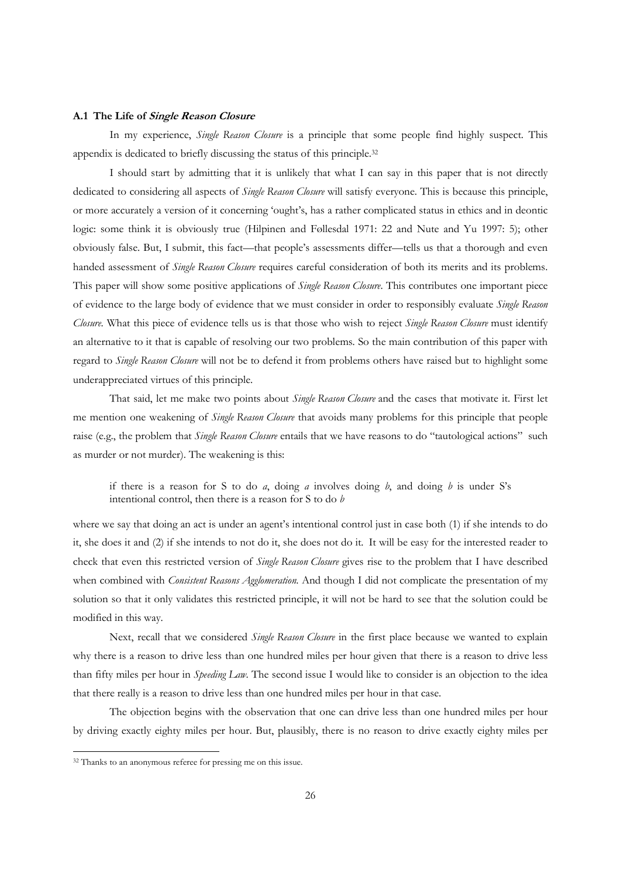#### **A.1 The Life of Single Reason Closure**

 In my experience, *Single Reason Closure* is a principle that some people find highly suspect. This appendix is dedicated to briefly discussing the status of this principle.<sup>32</sup>

I should start by admitting that it is unlikely that what I can say in this paper that is not directly dedicated to considering all aspects of *Single Reason Closure* will satisfy everyone. This is because this principle, or more accurately a version of it concerning 'ought's, has a rather complicated status in ethics and in deontic logic: some think it is obviously true (Hilpinen and Føllesdal 1971: 22 and Nute and Yu 1997: 5); other obviously false. But, I submit, this fact—that people's assessments differ—tells us that a thorough and even handed assessment of *Single Reason Closure* requires careful consideration of both its merits and its problems. This paper will show some positive applications of *Single Reason Closure*. This contributes one important piece of evidence to the large body of evidence that we must consider in order to responsibly evaluate *Single Reason Closure*. What this piece of evidence tells us is that those who wish to reject *Single Reason Closure* must identify an alternative to it that is capable of resolving our two problems. So the main contribution of this paper with regard to *Single Reason Closure* will not be to defend it from problems others have raised but to highlight some underappreciated virtues of this principle.

That said, let me make two points about *Single Reason Closure* and the cases that motivate it. First let me mention one weakening of *Single Reason Closure* that avoids many problems for this principle that people raise (e.g., the problem that *Single Reason Closure* entails that we have reasons to do "tautological actions" such as murder or not murder). The weakening is this:

if there is a reason for S to do *a*, doing *a* involves doing *b*, and doing *b* is under S's intentional control, then there is a reason for S to do *b*

where we say that doing an act is under an agent's intentional control just in case both (1) if she intends to do it, she does it and (2) if she intends to not do it, she does not do it. It will be easy for the interested reader to check that even this restricted version of *Single Reason Closure* gives rise to the problem that I have described when combined with *Consistent Reasons Agglomeration*. And though I did not complicate the presentation of my solution so that it only validates this restricted principle, it will not be hard to see that the solution could be modified in this way.

 Next, recall that we considered *Single Reason Closure* in the first place because we wanted to explain why there is a reason to drive less than one hundred miles per hour given that there is a reason to drive less than fifty miles per hour in *Speeding Law*. The second issue I would like to consider is an objection to the idea that there really is a reason to drive less than one hundred miles per hour in that case.

The objection begins with the observation that one can drive less than one hundred miles per hour by driving exactly eighty miles per hour. But, plausibly, there is no reason to drive exactly eighty miles per

<sup>32</sup> Thanks to an anonymous referee for pressing me on this issue.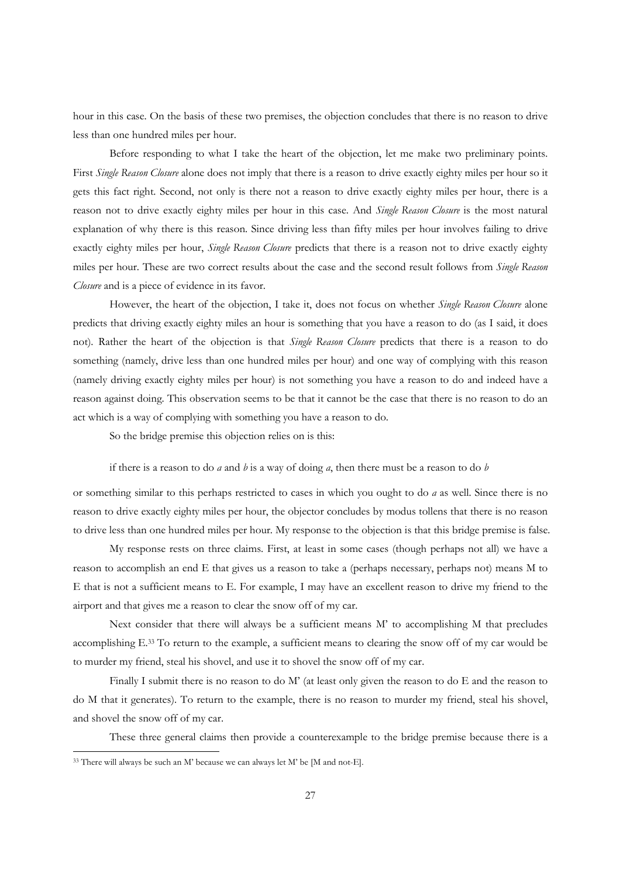hour in this case. On the basis of these two premises, the objection concludes that there is no reason to drive less than one hundred miles per hour.

 Before responding to what I take the heart of the objection, let me make two preliminary points. First *Single Reason Closure* alone does not imply that there is a reason to drive exactly eighty miles per hour so it gets this fact right. Second, not only is there not a reason to drive exactly eighty miles per hour, there is a reason not to drive exactly eighty miles per hour in this case. And *Single Reason Closure* is the most natural explanation of why there is this reason. Since driving less than fifty miles per hour involves failing to drive exactly eighty miles per hour, *Single Reason Closure* predicts that there is a reason not to drive exactly eighty miles per hour. These are two correct results about the case and the second result follows from *Single Reason Closure* and is a piece of evidence in its favor.

However, the heart of the objection, I take it, does not focus on whether *Single Reason Closure* alone predicts that driving exactly eighty miles an hour is something that you have a reason to do (as I said, it does not). Rather the heart of the objection is that *Single Reason Closure* predicts that there is a reason to do something (namely, drive less than one hundred miles per hour) and one way of complying with this reason (namely driving exactly eighty miles per hour) is not something you have a reason to do and indeed have a reason against doing. This observation seems to be that it cannot be the case that there is no reason to do an act which is a way of complying with something you have a reason to do.

So the bridge premise this objection relies on is this:

if there is a reason to do *a* and *b* is a way of doing *a*, then there must be a reason to do *b*

or something similar to this perhaps restricted to cases in which you ought to do *a* as well. Since there is no reason to drive exactly eighty miles per hour, the objector concludes by modus tollens that there is no reason to drive less than one hundred miles per hour. My response to the objection is that this bridge premise is false.

 My response rests on three claims. First, at least in some cases (though perhaps not all) we have a reason to accomplish an end E that gives us a reason to take a (perhaps necessary, perhaps not) means M to E that is not a sufficient means to E. For example, I may have an excellent reason to drive my friend to the airport and that gives me a reason to clear the snow off of my car.

 Next consider that there will always be a sufficient means M' to accomplishing M that precludes accomplishing E.33 To return to the example, a sufficient means to clearing the snow off of my car would be to murder my friend, steal his shovel, and use it to shovel the snow off of my car.

 Finally I submit there is no reason to do M' (at least only given the reason to do E and the reason to do M that it generates). To return to the example, there is no reason to murder my friend, steal his shovel, and shovel the snow off of my car.

These three general claims then provide a counterexample to the bridge premise because there is a

<sup>33</sup> There will always be such an M' because we can always let M' be [M and not-E].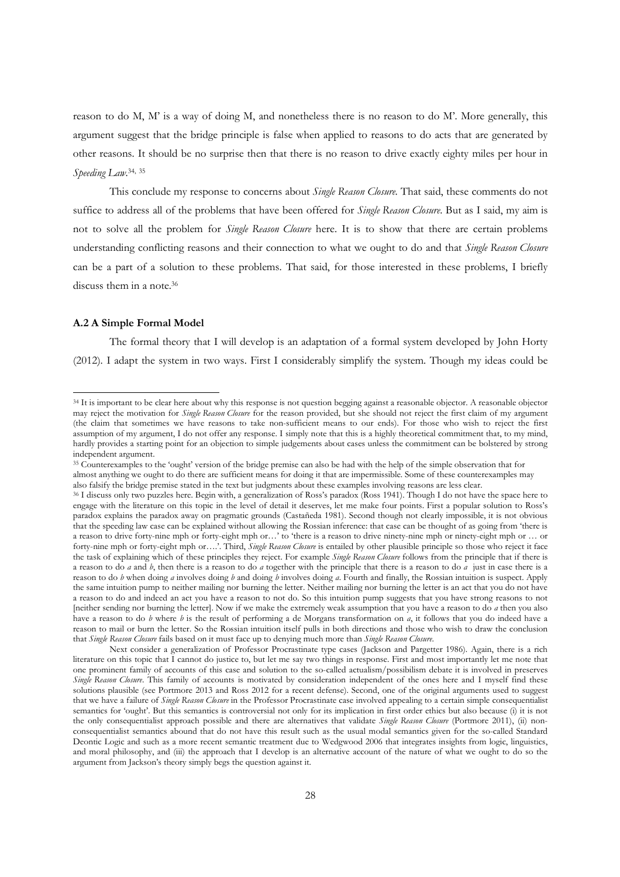reason to do M, M' is a way of doing M, and nonetheless there is no reason to do M'. More generally, this argument suggest that the bridge principle is false when applied to reasons to do acts that are generated by other reasons. It should be no surprise then that there is no reason to drive exactly eighty miles per hour in *Speeding Law*. 34, 35

 This conclude my response to concerns about *Single Reason Closure*. That said, these comments do not suffice to address all of the problems that have been offered for *Single Reason Closure*. But as I said, my aim is not to solve all the problem for *Single Reason Closure* here. It is to show that there are certain problems understanding conflicting reasons and their connection to what we ought to do and that *Single Reason Closure* can be a part of a solution to these problems. That said, for those interested in these problems, I briefly discuss them in a note.<sup>36</sup>

#### **A.2 A Simple Formal Model**

1

 The formal theory that I will develop is an adaptation of a formal system developed by John Horty (2012). I adapt the system in two ways. First I considerably simplify the system. Though my ideas could be

<sup>34</sup> It is important to be clear here about why this response is not question begging against a reasonable objector. A reasonable objector may reject the motivation for *Single Reason Closure* for the reason provided, but she should not reject the first claim of my argument (the claim that sometimes we have reasons to take non-sufficient means to our ends). For those who wish to reject the first assumption of my argument, I do not offer any response. I simply note that this is a highly theoretical commitment that, to my mind, hardly provides a starting point for an objection to simple judgements about cases unless the commitment can be bolstered by strong independent argument.

<sup>&</sup>lt;sup>35</sup> Counterexamples to the 'ought' version of the bridge premise can also be had with the help of the simple observation that for almost anything we ought to do there are sufficient means for doing it that are impermissible. Some of these counterexamples may also falsify the bridge premise stated in the text but judgments about these examples involving reasons are less clear.

<sup>36</sup> I discuss only two puzzles here. Begin with, a generalization of Ross's paradox (Ross 1941). Though I do not have the space here to engage with the literature on this topic in the level of detail it deserves, let me make four points. First a popular solution to Ross's paradox explains the paradox away on pragmatic grounds (Castañeda 1981). Second though not clearly impossible, it is not obvious that the speeding law case can be explained without allowing the Rossian inference: that case can be thought of as going from 'there is a reason to drive forty-nine mph or forty-eight mph or…' to 'there is a reason to drive ninety-nine mph or ninety-eight mph or … or forty-nine mph or forty-eight mph or….'. Third, *Single Reason Closure* is entailed by other plausible principle so those who reject it face the task of explaining which of these principles they reject. For example *Single Reason Closure* follows from the principle that if there is a reason to do *a* and *b*, then there is a reason to do *a* together with the principle that there is a reason to do *a* just in case there is a reason to do *b* when doing *a* involves doing *b* and doing *b* involves doing *a*. Fourth and finally, the Rossian intuition is suspect. Apply the same intuition pump to neither mailing nor burning the letter. Neither mailing nor burning the letter is an act that you do not have a reason to do and indeed an act you have a reason to not do. So this intuition pump suggests that you have strong reasons to not [neither sending nor burning the letter]. Now if we make the extremely weak assumption that you have a reason to do *a* then you also have a reason to do *b* where *b* is the result of performing a de Morgans transformation on *a*, it follows that you do indeed have a reason to mail or burn the letter. So the Rossian intuition itself pulls in both directions and those who wish to draw the conclusion that *Single Reason Closure* fails based on it must face up to denying much more than *Single Reason Closure*.

Next consider a generalization of Professor Procrastinate type cases (Jackson and Pargetter 1986). Again, there is a rich literature on this topic that I cannot do justice to, but let me say two things in response. First and most importantly let me note that one prominent family of accounts of this case and solution to the so-called actualism/possibilism debate it is involved in preserves *Single Reason Closure*. This family of accounts is motivated by consideration independent of the ones here and I myself find these solutions plausible (see Portmore 2013 and Ross 2012 for a recent defense). Second, one of the original arguments used to suggest that we have a failure of *Single Reason Closure* in the Professor Procrastinate case involved appealing to a certain simple consequentialist semantics for 'ought'. But this semantics is controversial not only for its implication in first order ethics but also because (i) it is not the only consequentialist approach possible and there are alternatives that validate *Single Reason Closure* (Portmore 2011), (ii) nonconsequentialist semantics abound that do not have this result such as the usual modal semantics given for the so-called Standard Deontic Logic and such as a more recent semantic treatment due to Wedgwood 2006 that integrates insights from logic, linguistics, and moral philosophy, and (iii) the approach that I develop is an alternative account of the nature of what we ought to do so the argument from Jackson's theory simply begs the question against it.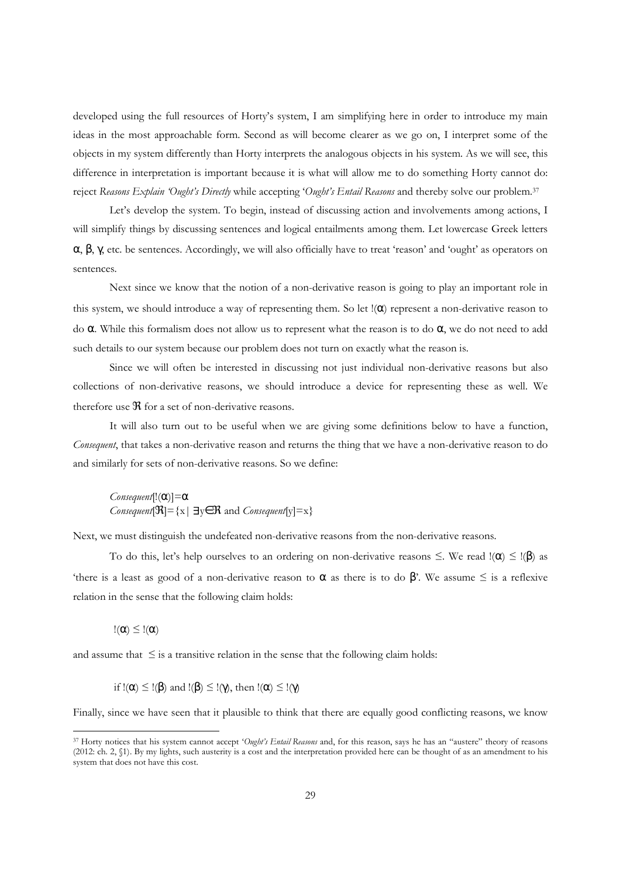developed using the full resources of Horty's system, I am simplifying here in order to introduce my main ideas in the most approachable form. Second as will become clearer as we go on, I interpret some of the objects in my system differently than Horty interprets the analogous objects in his system. As we will see, this difference in interpretation is important because it is what will allow me to do something Horty cannot do: reject *Reasons Explain 'Ought's Directly* while accepting '*Ought's Entail Reasons* and thereby solve our problem.<sup>37</sup>

Let's develop the system. To begin, instead of discussing action and involvements among actions, I will simplify things by discussing sentences and logical entailments among them. Let lowercase Greek letters α, β, γ, etc. be sentences. Accordingly, we will also officially have to treat 'reason' and 'ought' as operators on sentences.

Next since we know that the notion of a non-derivative reason is going to play an important role in this system, we should introduce a way of representing them. So let !(α) represent a non-derivative reason to do **α**. While this formalism does not allow us to represent what the reason is to do  $\alpha$ , we do not need to add such details to our system because our problem does not turn on exactly what the reason is.

 Since we will often be interested in discussing not just individual non-derivative reasons but also collections of non-derivative reasons, we should introduce a device for representing these as well. We therefore use  $\Re$  for a set of non-derivative reasons.

It will also turn out to be useful when we are giving some definitions below to have a function, *Consequent*, that takes a non-derivative reason and returns the thing that we have a non-derivative reason to do and similarly for sets of non-derivative reasons. So we define:

*Consequent*[!(α)]=α *Consequent* $[\Re] = \{x | \exists y \in \Re \text{ and } \text{Consequent}[y] = x\}$ 

Next, we must distinguish the undefeated non-derivative reasons from the non-derivative reasons.

To do this, let's help ourselves to an ordering on non-derivative reasons  $\leq$ . We read  $!(\alpha) \leq |(\beta)|$  as 'there is a least as good of a non-derivative reason to  $\alpha$  as there is to do  $\beta$ '. We assume  $\leq$  is a reflexive relation in the sense that the following claim holds:

 $!(\alpha) \leq |(\alpha)|$ 

-

and assume that  $\leq$  is a transitive relation in the sense that the following claim holds:

if  $!(\alpha) \leq |(\beta)$  and  $!(\beta) \leq |(\gamma)$ , then  $!(\alpha) \leq |(\gamma)$ 

Finally, since we have seen that it plausible to think that there are equally good conflicting reasons, we know

<sup>37</sup> Horty notices that his system cannot accept '*Ought's Entail Reasons* and, for this reason, says he has an "austere" theory of reasons (2012: ch. 2, §1). By my lights, such austerity is a cost and the interpretation provided here can be thought of as an amendment to his system that does not have this cost.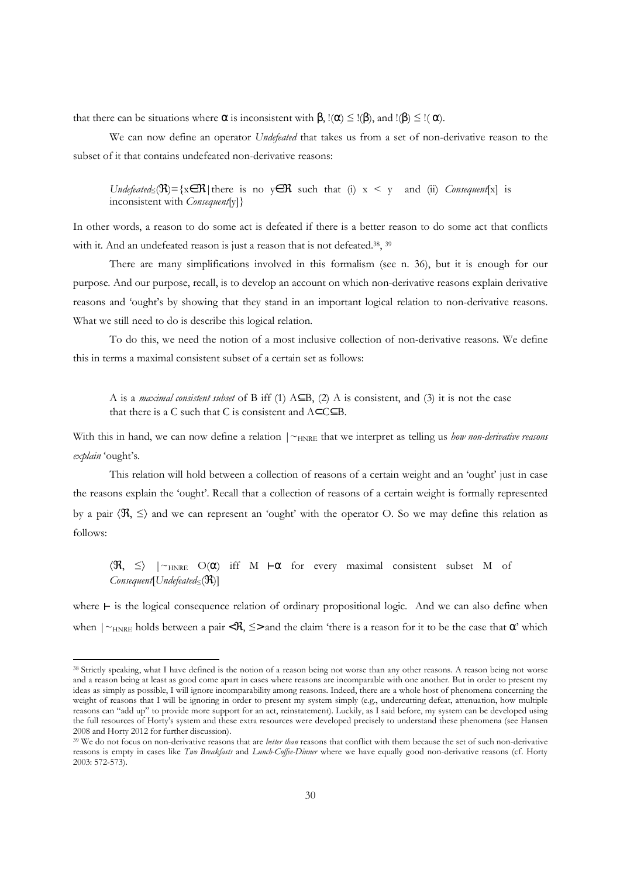that there can be situations where  $\alpha$  is inconsistent with  $\beta$ ,  $!(\alpha) \leq 1(\beta)$ , and  $!(\beta) \leq 1(\alpha)$ .

 We can now define an operator *Undefeated* that takes us from a set of non-derivative reason to the subset of it that contains undefeated non-derivative reasons:

*Undefeated*<( $\Re$ )={x∈ $\Re$ |there is no y∈ $\Re$  such that (i) x < y and (ii) *Consequent*[x] is inconsistent with *Consequent*[y]}

In other words, a reason to do some act is defeated if there is a better reason to do some act that conflicts with it. And an undefeated reason is just a reason that is not defeated.<sup>38</sup>, <sup>39</sup>

 There are many simplifications involved in this formalism (see n. 36), but it is enough for our purpose. And our purpose, recall, is to develop an account on which non-derivative reasons explain derivative reasons and 'ought's by showing that they stand in an important logical relation to non-derivative reasons. What we still need to do is describe this logical relation.

 To do this, we need the notion of a most inclusive collection of non-derivative reasons. We define this in terms a maximal consistent subset of a certain set as follows:

A is a *maximal consistent subset* of B iff (1) A⊆B, (2) A is consistent, and (3) it is not the case that there is a C such that C is consistent and  $A\square C\square B$ .

With this in hand, we can now define a relation  $|\sim_{HNEE}$  that we interpret as telling us *how non-derivative reasons explain* 'ought's.

This relation will hold between a collection of reasons of a certain weight and an 'ought' just in case the reasons explain the 'ought'. Recall that a collection of reasons of a certain weight is formally represented by a pair  $\langle \Re, \leq \rangle$  and we can represent an 'ought' with the operator O. So we may define this relation as follows:

 $\langle \Re, \le \rangle$  |  $\sim_{HNE}$  O( $\alpha$ ) iff M  $\vdash \alpha$  for every maximal consistent subset M of *Consequent*[*Undefeated*≤(ℜ)]

where  $\vdash$  is the logical consequence relation of ordinary propositional logic. And we can also define when when  $|\sim_{HNE}$  holds between a pair < $\Re$ ,  $\leq$ > and the claim 'there is a reason for it to be the case that  $\alpha$ ' which

<sup>38</sup> Strictly speaking, what I have defined is the notion of a reason being not worse than any other reasons. A reason being not worse and a reason being at least as good come apart in cases where reasons are incomparable with one another. But in order to present my ideas as simply as possible, I will ignore incomparability among reasons. Indeed, there are a whole host of phenomena concerning the weight of reasons that I will be ignoring in order to present my system simply (e.g., undercutting defeat, attenuation, how multiple reasons can "add up" to provide more support for an act, reinstatement). Luckily, as I said before, my system can be developed using the full resources of Horty's system and these extra resources were developed precisely to understand these phenomena (see Hansen 2008 and Horty 2012 for further discussion).

<sup>39</sup> We do not focus on non-derivative reasons that are *better than* reasons that conflict with them because the set of such non-derivative reasons is empty in cases like *Two Breakfasts* and *Lunch-Coffee-Dinner* where we have equally good non-derivative reasons (cf. Horty 2003: 572-573).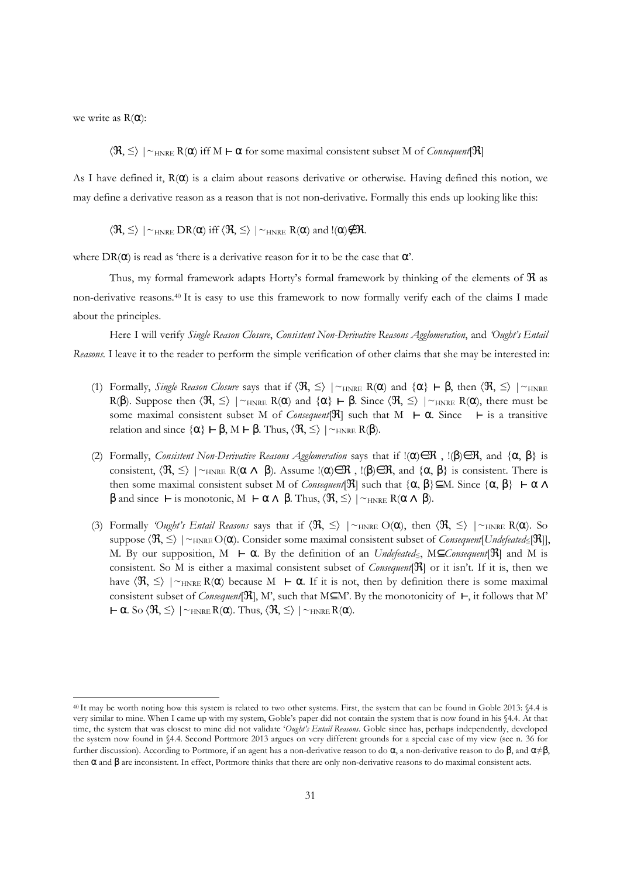we write as  $R(\alpha)$ :

1

 $\langle \Re, \leq \rangle$  |  $\sim_{HNER}$   $R(\alpha)$  iff M  $\vdash \alpha$  for some maximal consistent subset M of *Consequent*[ $\Re$ ]

As I have defined it,  $R(\alpha)$  is a claim about reasons derivative or otherwise. Having defined this notion, we may define a derivative reason as a reason that is not non-derivative. Formally this ends up looking like this:

 $\langle \Re, \le \rangle$  |  $\sim_{HNE} \text{DR}(\alpha)$  iff  $\langle \Re, \le \rangle$  |  $\sim_{HNER} \text{R}(\alpha)$  and  $!(\alpha) \notin \Re$ .

where  $DR(\alpha)$  is read as 'there is a derivative reason for it to be the case that  $\alpha$ '.

Thus, my formal framework adapts Horty's formal framework by thinking of the elements of  $\Re$  as non-derivative reasons.40 It is easy to use this framework to now formally verify each of the claims I made about the principles.

 Here I will verify *Single Reason Closure*, *Consistent Non-Derivative Reasons Agglomeration*, and *'Ought's Entail Reasons*. I leave it to the reader to perform the simple verification of other claims that she may be interested in:

- (1) Formally, *Single Reason Closure* says that if  $\langle \Re, \leq \rangle$  |  $\sim$  HNRE R( $\alpha$ ) and  $\{\alpha\}$  **|**  $\beta$ , then  $\langle \Re, \leq \rangle$  |  $\sim$  HNRE R(β). Suppose then  $\langle \Re, \le \rangle$  |  $\sim_{H NRE}$  R( $\alpha$ ) and  $\{\alpha\}$  |  $\beta$ . Since  $\langle \Re, \le \rangle$  |  $\sim_{H NRE}$  R( $\alpha$ ), there must be some maximal consistent subset M of *Consequent*[ $\Re$ ] such that M  $\vdash \alpha$ . Since  $\vdash$  is a transitive relation and since  $\{\alpha\} \vdash \beta$ , M  $\vdash \beta$ . Thus,  $\langle \Re \rangle \leq |\sim_{HNRE} R(\beta)|$ .
- (2) Formally, *Consistent Non-Derivative Reasons Agglomeration* says that if !(α)∈ℜ , !(β)∈ℜ, and {α, β} is consistent,  $\langle \Re, \le \rangle$  | $\sim_{HNE}$  R( $\alpha \wedge \beta$ ). Assume  $\vert \alpha \rangle \in \Re$ ,  $\vert \beta \rangle \in \Re$ , and  $\{\alpha, \beta\}$  is consistent. There is then some maximal consistent subset M of *Consequent*[ $\mathfrak{R}$ ] such that  $\{\alpha, \beta\} \subseteq M$ . Since  $\{\alpha, \beta\} \vdash \alpha \land \beta$ β and since  $\vdash$  is monotonic, M  $\vdash$  α Λ β. Thus,  $\langle \Re, \le \rangle \mid$  ~HNRE R(α Λ β).
- (3) Formally 'Ought's Entail Reasons says that if  $\langle \Re, \leq \rangle$  |  $\sim_{HNE}$  O( $\alpha$ ), then  $\langle \Re, \leq \rangle$  |  $\sim_{HNE}$  R( $\alpha$ ). So suppose 〈ℜ, ≤〉 |~HNRE O(α). Consider some maximal consistent subset of *Consequent*[*Undefeated*≤[ℜ]], M. By our supposition, M  $\vdash \alpha$ . By the definition of an *Undefeated*≤, M⊆*Consequent*[ $\Re$ ] and M is consistent. So M is either a maximal consistent subset of *Consequent*[ℜ] or it isn't. If it is, then we have  $\langle \Re, \le \rangle$  |  $\sim_{HNE}$  R( $\alpha$ ) because M  $\vdash \alpha$ . If it is not, then by definition there is some maximal consistent subset of *Consequent*[ $\Re$ ], M', such that M $\subseteq$ M'. By the monotonicity of  $\vdash$ , it follows that M'  $\vdash \alpha$ . So  $\langle \Re \rangle \leq | \sim_{HNRE} R(\alpha)$ . Thus,  $\langle \Re \rangle \leq | \sim_{HNRE} R(\alpha)$ .

<sup>40</sup>It may be worth noting how this system is related to two other systems. First, the system that can be found in Goble 2013: §4.4 is very similar to mine. When I came up with my system, Goble's paper did not contain the system that is now found in his §4.4. At that time, the system that was closest to mine did not validate '*Ought's Entail Reasons*. Goble since has, perhaps independently, developed the system now found in §4.4. Second Portmore 2013 argues on very different grounds for a special case of my view (see n. 36 for further discussion). According to Portmore, if an agent has a non-derivative reason to do α, a non-derivative reason to do β, and  $\alpha \neq \beta$ , then  $\alpha$  and  $\beta$  are inconsistent. In effect, Portmore thinks that there are only non-derivative reasons to do maximal consistent acts.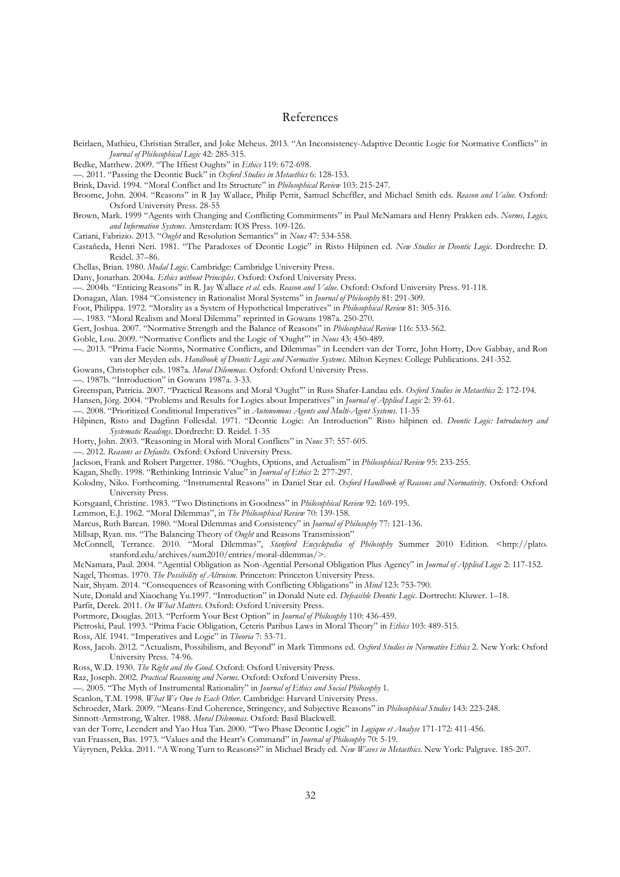# References

Beirlaen, Mathieu, Christian Straßer, and Joke Meheus. 2013. "An Inconsistency-Adaptive Deontic Logic for Normative Conflicts" in *Journal of Philosophical Logic* 42: 285-315.

Bedke, Matthew. 2009. "The Iffiest Oughts" in *Ethics* 119: 672-698.

—. 2011. "Passing the Deontic Buck" in *Oxford Studies in Metaethics* 6: 128-153.

Brink, David. 1994. "Moral Conflict and Its Structure" in *Philosophical Review* 103: 215-247.

Broome, John. 2004. "Reasons" in R Jay Wallace, Philip Pettit, Samuel Scheffler, and Michael Smith eds. *Reason and Value*. Oxford: Oxford University Press. 28-55

Brown, Mark. 1999 "Agents with Changing and Conflicting Commitments" in Paul McNamara and Henry Prakken eds. *Norms, Logics, and Information Systems*. Amsterdam: IOS Press. 109-126.

Cariani, Fabrizio. 2013. "*Ought* and Resolution Semantics" in *Nous* 47: 534-558.

Castañeda, Henri Neri. 1981. "The Paradoxes of Deontic Logic" in Risto Hilpinen ed. *New Studies in Deontic Logic*. Dordrecht: D. Reidel. 37–86.

Chellas, Brian. 1980. *Modal Logic*. Cambridge: Cambridge University Press.

Dany, Jonathan. 2004a. *Ethics without Principles*. Oxford: Oxford University Press.

—. 2004b. "Enticing Reasons" in R. Jay Wallace *et al*. eds. *Reason and Value*. Oxford: Oxford University Press. 91-118.

Donagan, Alan. 1984 "Consistency in Rationalist Moral Systems" in *Journal of Philosophy* 81: 291-309.

Foot, Philippa. 1972. "Morality as a System of Hypothetical Imperatives" in *Philosophical Review* 81: 305-316.

—. 1983. "Moral Realism and Moral Dilemma" reprinted in Gowans 1987a. 250-270.

Gert, Joshua. 2007. "Normative Strength and the Balance of Reasons" in *Philosophical Review* 116: 533-562.

Goble, Lou. 2009. "Normative Conflicts and the Logic of 'Ought'" in *Nous* 43: 450-489.

—. 2013. "Prima Facie Norms, Normative Conflicts, and Dilemmas" in Leendert van der Torre, John Horty, Dov Gabbay, and Ron van der Meyden eds. *Handbook of Deontic Logic and Normative Systems*. Milton Keynes: College Publications. 241-352.

Gowans, Christopher eds. 1987a. *Moral Dilemmas*. Oxford: Oxford University Press.

—. 1987b. "Introduction" in Gowans 1987a. 3-33.

Greenspan, Patricia. 2007. "Practical Reasons and Moral 'Ought'" in Russ Shafer-Landau eds. *Oxford Studies in Metaethics* 2: 172-194.

Hansen, Jörg. 2004. "Problems and Results for Logics about Imperatives" in *Journal of Applied Logic* 2: 39-61.

—. 2008. "Prioritized Conditional Imperatives" in *Autonomous Agents and Multi-Agent Systems*. 11-35

Hilpinen, Risto and Dagfinn Føllesdal. 1971. "Deontic Logic: An Introduction" Risto hilpinen ed. *Deontic Logic: Introductory and Systematic Readings*. Dordrecht: D. Reidel. 1-35

Horty, John. 2003. "Reasoning in Moral with Moral Conflicts" in *Nous* 37: 557-605.

—. 2012. *Reasons as Defaults*. Oxford: Oxford University Press.

Jackson, Frank and Robert Pargetter. 1986. "Oughts, Options, and Actualism" in *Philosophical Review* 95: 233-255.

Kagan, Shelly. 1998. "Rethinking Intrinsic Value" in *Journal of Ethics* 2: 277-297.

Kolodny, Niko. Forthcoming. "Instrumental Reasons" in Daniel Star ed. *Oxford Handbook of Reasons and Normativity*. Oxford: Oxford University Press.

Korsgaard, Christine. 1983. "Two Distinctions in Goodness" in *Philosophical Review* 92: 169-195.

Lemmon, E.J. 1962. "Moral Dilemmas", in *The Philosophical Review* 70: 139-158.

Marcus, Ruth Barcan. 1980. "Moral Dilemmas and Consistency" in *Journal of Philosophy* 77: 121-136.

Millsap, Ryan. ms. "The Balancing Theory of *Ought* and Reasons Transmission"

McConnell, Terrance. 2010. "Moral Dilemmas", *Stanford Encyclopedia of Philosophy* Summer 2010 Edition. <http://plato. stanford.edu/archives/sum2010/entries/moral-dilemmas/>.

McNamara, Paul. 2004. "Agential Obligation as Non-Agential Personal Obligation Plus Agency" in *Journal of Applied Logic* 2: 117-152. Nagel, Thomas. 1970. *The Possibility of Altruism*. Princeton: Princeton University Press.

Nair, Shyam. 2014. "Consequences of Reasoning with Conflicting Obligations" in *Mind* 123: 753-790.

Nute, Donald and Xiaochang Yu.1997. "Introduction" in Donald Nute ed. *Defeasible Deontic Logic*. Dortrecht: Kluwer. 1–18.

Parfit, Derek. 2011. *On What Matters*. Oxford: Oxford University Press.

Portmore, Douglas. 2013. "Perform Your Best Option" in *Journal of Philosophy* 110: 436-459.

Pietroski, Paul. 1993. "Prima Facie Obligation, Ceteris Paribus Laws in Moral Theory" in *Ethics* 103: 489-515.

Ross, Alf. 1941. "Imperatives and Logic" in *Theoria* 7: 53-71.

Ross, Jacob. 2012. "Actualism, Possibilism, and Beyond" in Mark Timmons ed. *Oxford Studies in Normative Ethics* 2. New York: Oxford University Press. 74-96.

Ross, W.D. 1930. *The Right and the Good*. Oxford: Oxford University Press.

Raz, Joseph. 2002. *Practical Reasoning and Norms*. Oxford: Oxford University Press.

—. 2005. "The Myth of Instrumental Rationality" in *Journal of Ethics and Social Philosophy* 1.

Scanlon, T.M. 1998. *What We Owe to Each Other*. Cambridge: Harvard University Press.

Schroeder, Mark. 2009. "Means-End Coherence, Stringency, and Subjective Reasons" in *Philosophical Studies* 143: 223-248.

Sinnott-Armstrong, Walter. 1988. *Moral Dilemmas*. Oxford: Basil Blackwell.

van der Torre, Leendert and Yao Hua Tan. 2000. "Two Phase Deontic Logic" in *Logique et Analyse* 171-172: 411-456.

van Fraassen, Bas. 1973. "Values and the Heart's Command" in *Journal of Philosophy* 70: 5-19.

Väyrynen, Pekka. 2011. "A Wrong Turn to Reasons?" in Michael Brady ed. *New Waves in Metaethics*. New York: Palgrave. 185-207.